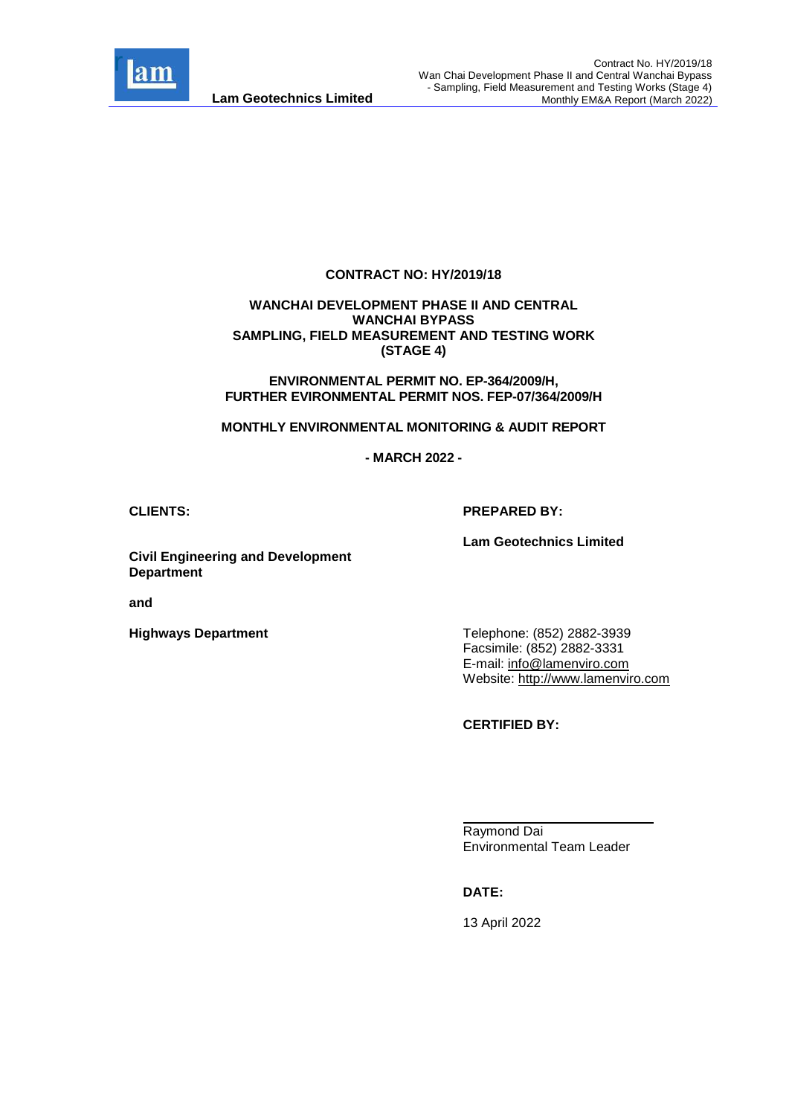

#### **CONTRACT NO: HY/2019/18**

#### **WANCHAI DEVELOPMENT PHASE II AND CENTRAL WANCHAI BYPASS SAMPLING, FIELD MEASUREMENT AND TESTING WORK (STAGE 4)**

**ENVIRONMENTAL PERMIT NO. EP-364/2009/H, FURTHER EVIRONMENTAL PERMIT NOS. FEP-07/364/2009/H**

**MONTHLY ENVIRONMENTAL MONITORING & AUDIT REPORT**

**- MARCH 2022 -**

#### **CLIENTS: PREPARED BY:**

**Lam Geotechnics Limited**

**Civil Engineering and Development Department**

**and** 

**Highways Department**

Telephone: (852) 2882-3939 Facsimile: (852) 2882-3331 E-mail: [info@lamenviro.com](mailto:info@lamenviro.com) Website: [http://www.lamenviro.com](http://www.lamenviro.com/)

**CERTIFIED BY:**

Raymond Dai Environmental Team Leader

**DATE:**

13 April 2022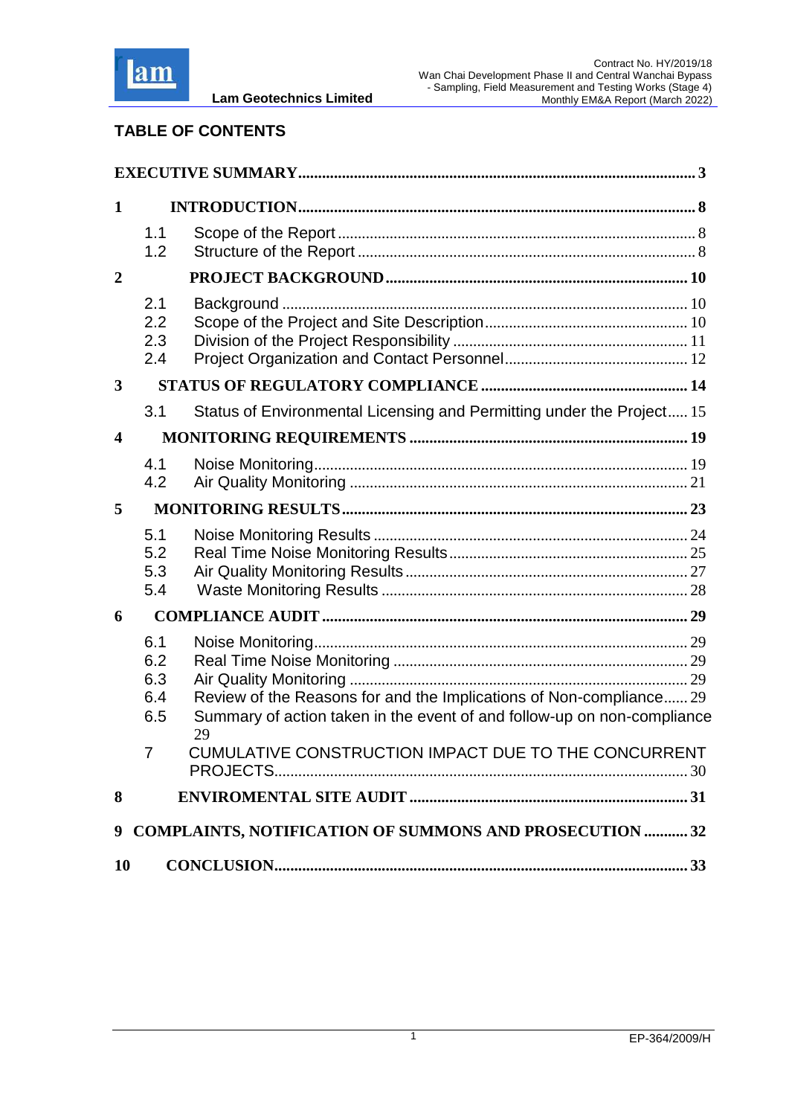

## **TABLE OF CONTENTS**

| $\mathbf 1$      |                                 |                                                                                                                                                |  |
|------------------|---------------------------------|------------------------------------------------------------------------------------------------------------------------------------------------|--|
|                  | 1.1<br>1.2                      |                                                                                                                                                |  |
| $\overline{2}$   |                                 |                                                                                                                                                |  |
|                  | 2.1<br>2.2<br>2.3<br>2.4        |                                                                                                                                                |  |
| $\mathbf{3}$     |                                 |                                                                                                                                                |  |
|                  | 3.1                             | Status of Environmental Licensing and Permitting under the Project 15                                                                          |  |
| $\boldsymbol{4}$ |                                 |                                                                                                                                                |  |
|                  | 4.1<br>4.2                      |                                                                                                                                                |  |
| 5                |                                 |                                                                                                                                                |  |
|                  | 5.1<br>5.2<br>5.3<br>5.4        |                                                                                                                                                |  |
| 6                |                                 |                                                                                                                                                |  |
|                  | 6.1<br>6.2<br>6.3<br>6.4<br>6.5 | Review of the Reasons for and the Implications of Non-compliance 29<br>Summary of action taken in the event of and follow-up on non-compliance |  |
|                  | 7                               | 29<br>CUMULATIVE CONSTRUCTION IMPACT DUE TO THE CONCURRENT                                                                                     |  |
| 8                |                                 |                                                                                                                                                |  |
| 10               |                                 | 9 COMPLAINTS, NOTIFICATION OF SUMMONS AND PROSECUTION  32                                                                                      |  |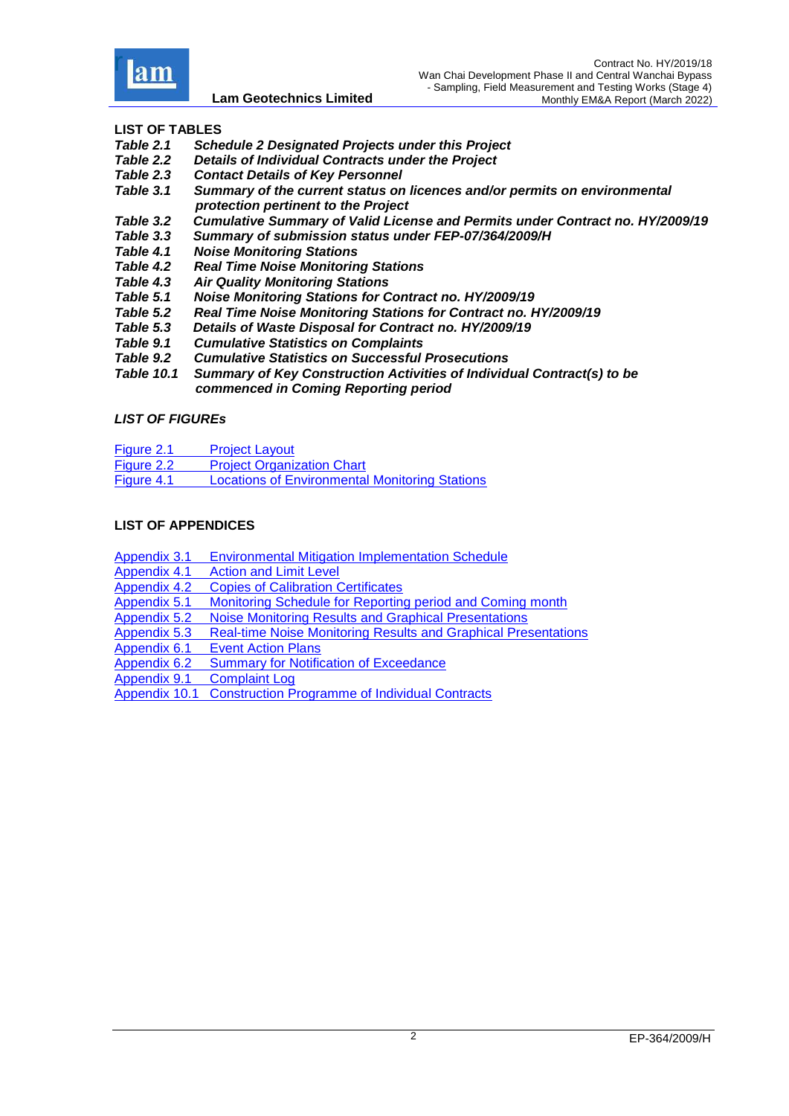

## **LIST OF TABLES**

- *[Table 2.1 Schedule 2 Designated Projects under this Project](#page-11-1)*
- *Table 2.2 [Details of Individual Contracts under the Project](#page-11-2)*
- *Table 2.3 [Contact Details of Key Personnel](#page-12-1)*
- *Table 3.1 [Summary of the current status on licences and/or permits on environmental](#page-15-1)   [protection pertinent to the Project](#page-15-1)*
- *[Table 3.2 Cumulative Summary of Valid License and Permits under Contract no. HY/2009/19](#page-17-0)*
- Summary of submission status under FEP-07/364/2009/H
- *Table 4.1 [Noise Monitoring Stations](#page-19-2)*
- *Table 4.2 [Real Time Noise Monitoring Stations](#page-19-3)*
- *Table 4.3 [Air Quality Monitoring Stations](#page-21-1)*
- *Table 5.1 [Noise Monitoring Stations for Contract no. HY/2009/19](#page-24-1)*
- *Table 5.2 [Real Time Noise Monitoring Stations for Contract no. HY/2009/19](#page-25-1)*
- *[Table 5.3 Details of Waste Disposal for Contract no. HY/2009/19](#page-28-1)*
- *Table 9.1 [Cumulative Statistics on Complaints](#page-32-1)*
- *Table 9.2 [Cumulative Statistics on Successful Prosecutions](#page-32-2)*
- *Table 10.1 [Summary of Key Construction Activities of Individual Contract\(s\) to be](#page-33-1)   [commenced in Coming Reporting period](#page-33-1)*

#### *LIST OF FIGUREs*

- Figure 2.1 [Project Layout](Attachment/Fig2.1_Project%20Layout.pdf)
- Figure 2.2 [Project Organization Chart](Attachment/Fig2.2_Project%20Orgchart.pdf)
- [Figure 4.1 Locations of Environmental Monitoring Stations](Attachment/Fig4.1%20Location%20of%20monitoring%20stations.pdf)

#### **LIST OF APPENDICES**

- Appendix 3.1 [Environmental Mitigation Implementation Schedule](Attachment/App3.1%20EMIS.pdf)<br>Appendix 4.1 Action and Limit Level
- **[Action and Limit Level](Attachment/App4.1%20Action%20and%20Limit%20Level.pdf)**
- Appendix 4.2 [Copies of Calibration Certificates](Attachment/App4.2%20Calibration%20Cert.pdf)
- Appendix 5.1 [Monitoring Schedule for Reporting period](Attachment/App5.1%20Schedule.pdf) and Coming month
- Appendix 5.2 Noise [Monitoring Results and Graphical Presentations](Attachment/App5.2%20Noise.pdf)
- Appendix 5.3 [Real-time Noise Monitoring Results and Graphical Presentations](Attachment/App5.3%20Real%20time%20noise.pdf)
- 
- Appendix 6.1 [Event Action Plans](Attachment/App6.1%20Event%20and%20Action%20Plan.pdf)<br>Appendix 6.2 Summary for Notific **[Summary for Notification of Exceedance](Attachment/App6.2%20NoE.pdf)**

Appendix 9.1 [Complaint Log](Attachment/App9.1%20Complaint%20Log.pdf)

Appendix 10.1 [Construction Programme of Individual Contracts](Attachment/App10.1%20Construction%20Programme.pdf)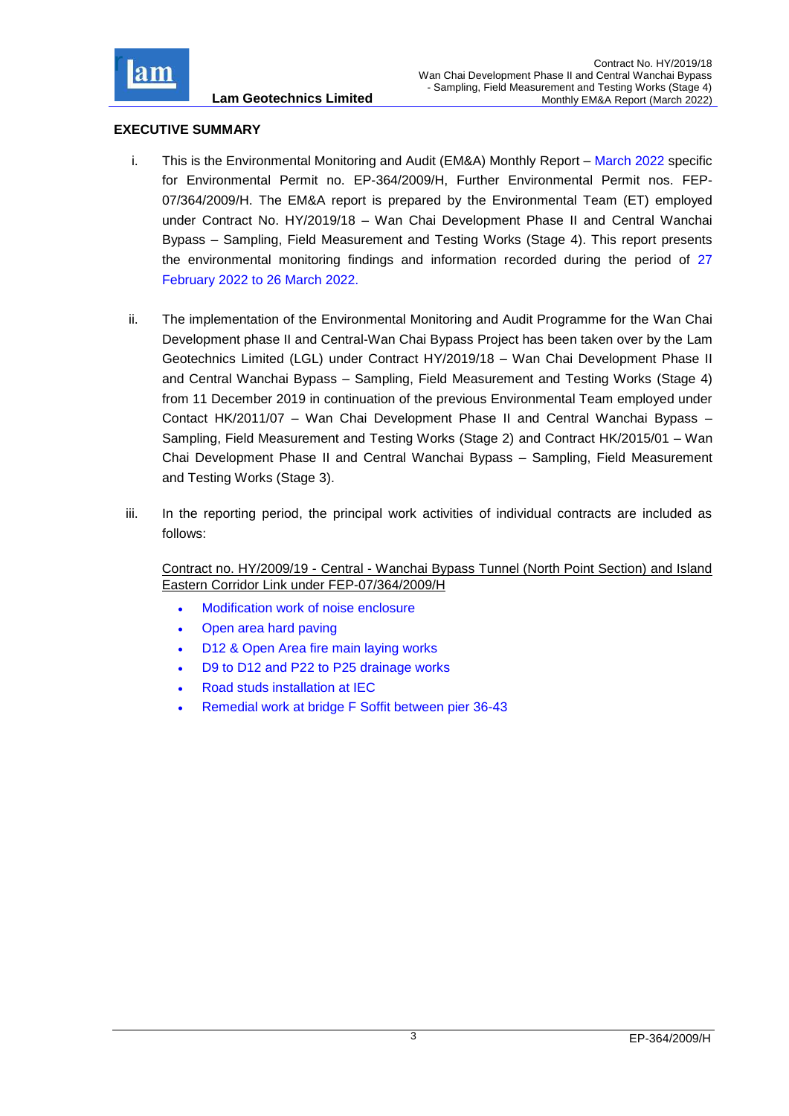

## <span id="page-3-0"></span>**EXECUTIVE SUMMARY**

- i. This is the Environmental Monitoring and Audit (EM&A) Monthly Report March 2022 specific for Environmental Permit no. EP-364/2009/H, Further Environmental Permit nos. FEP-07/364/2009/H. The EM&A report is prepared by the Environmental Team (ET) employed under Contract No. HY/2019/18 – Wan Chai Development Phase II and Central Wanchai Bypass – Sampling, Field Measurement and Testing Works (Stage 4). This report presents the environmental monitoring findings and information recorded during the period of 27 February 2022 to 26 March 2022.
- ii. The implementation of the Environmental Monitoring and Audit Programme for the Wan Chai Development phase II and Central-Wan Chai Bypass Project has been taken over by the Lam Geotechnics Limited (LGL) under Contract HY/2019/18 – Wan Chai Development Phase II and Central Wanchai Bypass – Sampling, Field Measurement and Testing Works (Stage 4) from 11 December 2019 in continuation of the previous Environmental Team employed under Contact HK/2011/07 – Wan Chai Development Phase II and Central Wanchai Bypass – Sampling, Field Measurement and Testing Works (Stage 2) and Contract HK/2015/01 – Wan Chai Development Phase II and Central Wanchai Bypass – Sampling, Field Measurement and Testing Works (Stage 3).
- iii. In the reporting period, the principal work activities of individual contracts are included as follows:

Contract no. HY/2009/19 - Central - Wanchai Bypass Tunnel (North Point Section) and Island Eastern Corridor Link under FEP-07/364/2009/H

- Modification work of noise enclosure
- Open area hard paving
- D12 & Open Area fire main laying works
- D9 to D12 and P22 to P25 drainage works
- Road studs installation at IEC
- Remedial work at bridge F Soffit between pier 36-43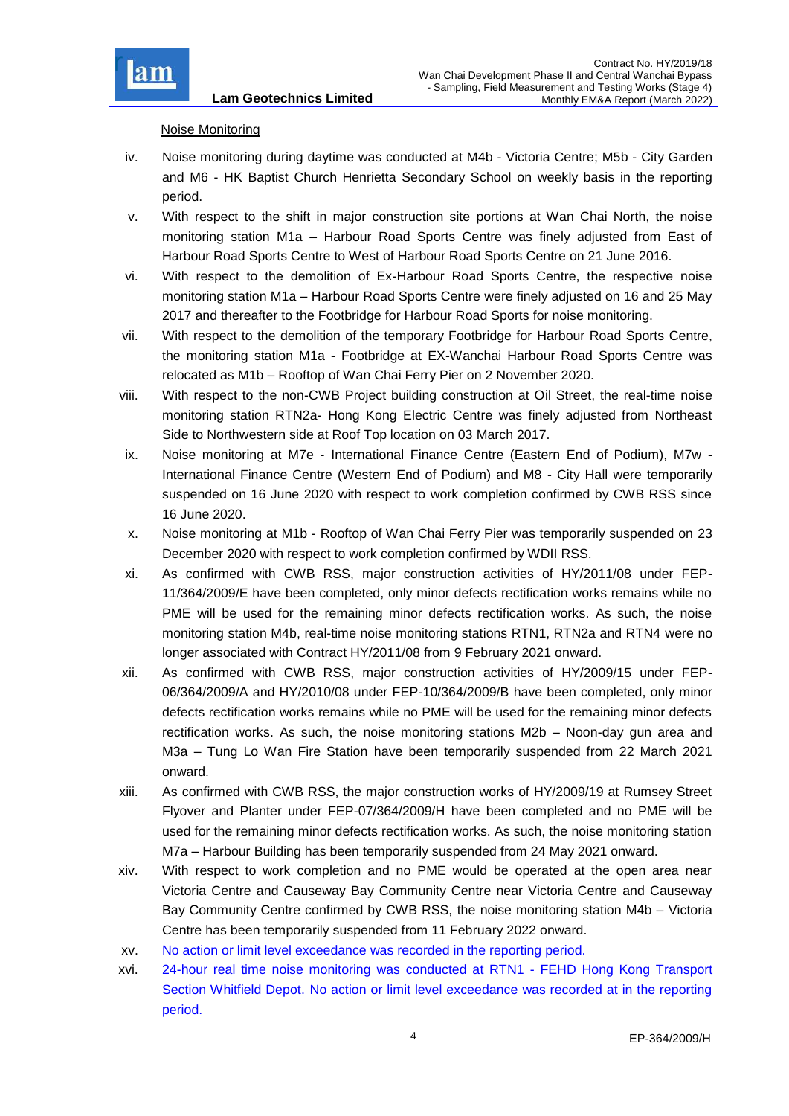

## Noise Monitoring

- iv. Noise monitoring during daytime was conducted at M4b Victoria Centre; M5b City Garden and M6 - HK Baptist Church Henrietta Secondary School on weekly basis in the reporting period.
- v. With respect to the shift in major construction site portions at Wan Chai North, the noise monitoring station M1a – Harbour Road Sports Centre was finely adjusted from East of Harbour Road Sports Centre to West of Harbour Road Sports Centre on 21 June 2016.
- vi. With respect to the demolition of Ex-Harbour Road Sports Centre, the respective noise monitoring station M1a – Harbour Road Sports Centre were finely adjusted on 16 and 25 May 2017 and thereafter to the Footbridge for Harbour Road Sports for noise monitoring.
- vii. With respect to the demolition of the temporary Footbridge for Harbour Road Sports Centre, the monitoring station M1a - Footbridge at EX-Wanchai Harbour Road Sports Centre was relocated as M1b – Rooftop of Wan Chai Ferry Pier on 2 November 2020.
- viii. With respect to the non-CWB Project building construction at Oil Street, the real-time noise monitoring station RTN2a- Hong Kong Electric Centre was finely adjusted from Northeast Side to Northwestern side at Roof Top location on 03 March 2017.
- ix. Noise monitoring at M7e International Finance Centre (Eastern End of Podium), M7w International Finance Centre (Western End of Podium) and M8 - City Hall were temporarily suspended on 16 June 2020 with respect to work completion confirmed by CWB RSS since 16 June 2020.
- x. Noise monitoring at M1b Rooftop of Wan Chai Ferry Pier was temporarily suspended on 23 December 2020 with respect to work completion confirmed by WDII RSS.
- xi. As confirmed with CWB RSS, major construction activities of HY/2011/08 under FEP-11/364/2009/E have been completed, only minor defects rectification works remains while no PME will be used for the remaining minor defects rectification works. As such, the noise monitoring station M4b, real-time noise monitoring stations RTN1, RTN2a and RTN4 were no longer associated with Contract HY/2011/08 from 9 February 2021 onward.
- xii. As confirmed with CWB RSS, major construction activities of HY/2009/15 under FEP-06/364/2009/A and HY/2010/08 under FEP-10/364/2009/B have been completed, only minor defects rectification works remains while no PME will be used for the remaining minor defects rectification works. As such, the noise monitoring stations M2b – Noon-day gun area and M3a – Tung Lo Wan Fire Station have been temporarily suspended from 22 March 2021 onward.
- xiii. As confirmed with CWB RSS, the major construction works of HY/2009/19 at Rumsey Street Flyover and Planter under FEP-07/364/2009/H have been completed and no PME will be used for the remaining minor defects rectification works. As such, the noise monitoring station M7a – Harbour Building has been temporarily suspended from 24 May 2021 onward.
- xiv. With respect to work completion and no PME would be operated at the open area near Victoria Centre and Causeway Bay Community Centre near Victoria Centre and Causeway Bay Community Centre confirmed by CWB RSS, the noise monitoring station M4b – Victoria Centre has been temporarily suspended from 11 February 2022 onward.
- xv. No action or limit level exceedance was recorded in the reporting period.
- xvi. 24-hour real time noise monitoring was conducted at RTN1 FEHD Hong Kong Transport Section Whitfield Depot. No action or limit level exceedance was recorded at in the reporting period.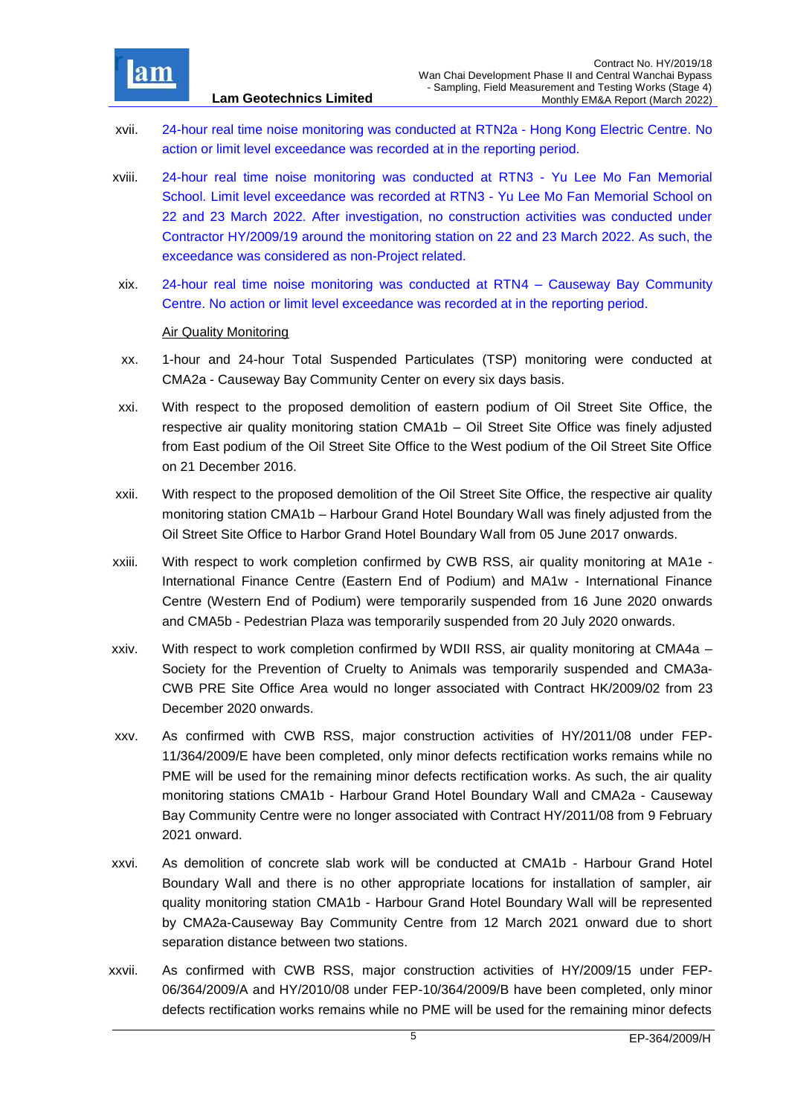

- xvii. 24-hour real time noise monitoring was conducted at RTN2a Hong Kong Electric Centre. No action or limit level exceedance was recorded at in the reporting period.
- xviii. 24-hour real time noise monitoring was conducted at RTN3 Yu Lee Mo Fan Memorial School. Limit level exceedance was recorded at RTN3 - Yu Lee Mo Fan Memorial School on 22 and 23 March 2022. After investigation, no construction activities was conducted under Contractor HY/2009/19 around the monitoring station on 22 and 23 March 2022. As such, the exceedance was considered as non-Project related.
- xix. 24-hour real time noise monitoring was conducted at RTN4 Causeway Bay Community Centre. No action or limit level exceedance was recorded at in the reporting period.

### Air Quality Monitoring

- xx. 1-hour and 24-hour Total Suspended Particulates (TSP) monitoring were conducted at CMA2a - Causeway Bay Community Center on every six days basis.
- xxi. With respect to the proposed demolition of eastern podium of Oil Street Site Office, the respective air quality monitoring station CMA1b – Oil Street Site Office was finely adjusted from East podium of the Oil Street Site Office to the West podium of the Oil Street Site Office on 21 December 2016.
- xxii. With respect to the proposed demolition of the Oil Street Site Office, the respective air quality monitoring station CMA1b – Harbour Grand Hotel Boundary Wall was finely adjusted from the Oil Street Site Office to Harbor Grand Hotel Boundary Wall from 05 June 2017 onwards.
- xxiii. With respect to work completion confirmed by CWB RSS, air quality monitoring at MA1e International Finance Centre (Eastern End of Podium) and MA1w - International Finance Centre (Western End of Podium) were temporarily suspended from 16 June 2020 onwards and CMA5b - Pedestrian Plaza was temporarily suspended from 20 July 2020 onwards.
- xxiv. With respect to work completion confirmed by WDII RSS, air quality monitoring at CMA4a Society for the Prevention of Cruelty to Animals was temporarily suspended and CMA3a-CWB PRE Site Office Area would no longer associated with Contract HK/2009/02 from 23 December 2020 onwards.
- xxv. As confirmed with CWB RSS, major construction activities of HY/2011/08 under FEP-11/364/2009/E have been completed, only minor defects rectification works remains while no PME will be used for the remaining minor defects rectification works. As such, the air quality monitoring stations CMA1b - Harbour Grand Hotel Boundary Wall and CMA2a - Causeway Bay Community Centre were no longer associated with Contract HY/2011/08 from 9 February 2021 onward.
- xxvi. As demolition of concrete slab work will be conducted at CMA1b Harbour Grand Hotel Boundary Wall and there is no other appropriate locations for installation of sampler, air quality monitoring station CMA1b - Harbour Grand Hotel Boundary Wall will be represented by CMA2a-Causeway Bay Community Centre from 12 March 2021 onward due to short separation distance between two stations.
- xxvii. As confirmed with CWB RSS, major construction activities of HY/2009/15 under FEP-06/364/2009/A and HY/2010/08 under FEP-10/364/2009/B have been completed, only minor defects rectification works remains while no PME will be used for the remaining minor defects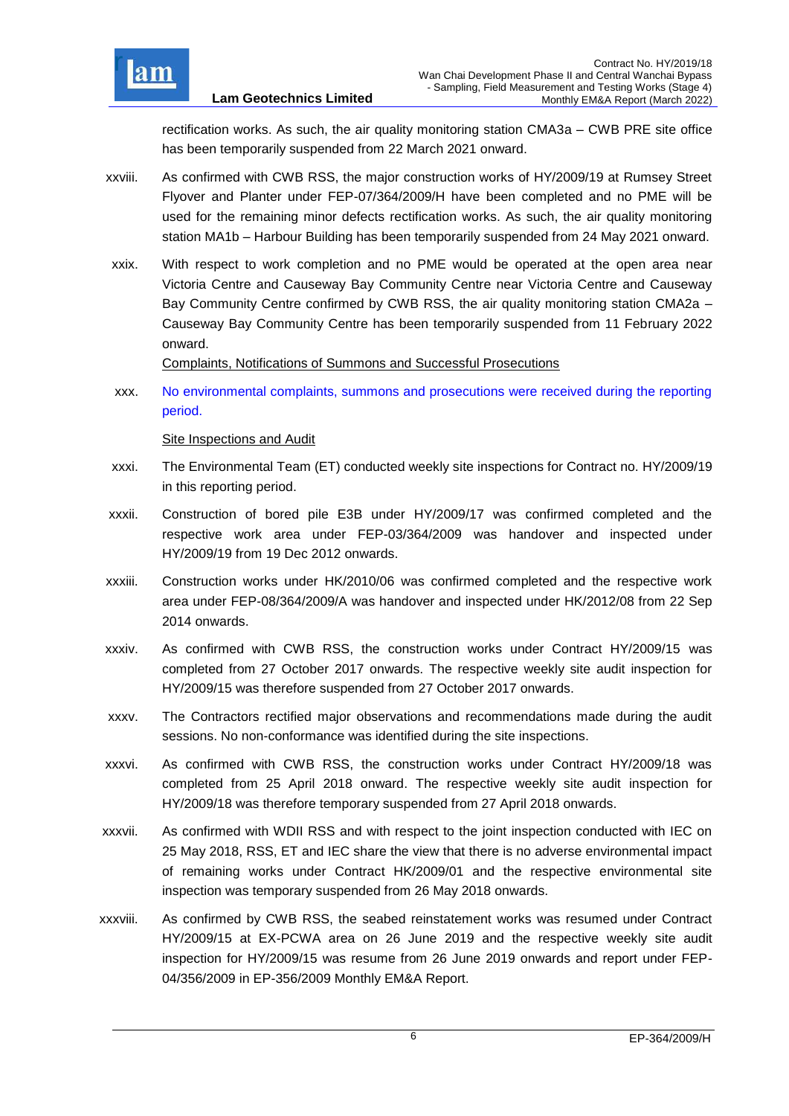

rectification works. As such, the air quality monitoring station CMA3a – CWB PRE site office has been temporarily suspended from 22 March 2021 onward.

- xxviii. As confirmed with CWB RSS, the major construction works of HY/2009/19 at Rumsey Street Flyover and Planter under FEP-07/364/2009/H have been completed and no PME will be used for the remaining minor defects rectification works. As such, the air quality monitoring station MA1b – Harbour Building has been temporarily suspended from 24 May 2021 onward.
- xxix. With respect to work completion and no PME would be operated at the open area near Victoria Centre and Causeway Bay Community Centre near Victoria Centre and Causeway Bay Community Centre confirmed by CWB RSS, the air quality monitoring station CMA2a – Causeway Bay Community Centre has been temporarily suspended from 11 February 2022 onward.

Complaints, Notifications of Summons and Successful Prosecutions

xxx. No environmental complaints, summons and prosecutions were received during the reporting period.

Site Inspections and Audit

- xxxi. The Environmental Team (ET) conducted weekly site inspections for Contract no. HY/2009/19 in this reporting period.
- xxxii. Construction of bored pile E3B under HY/2009/17 was confirmed completed and the respective work area under FEP-03/364/2009 was handover and inspected under HY/2009/19 from 19 Dec 2012 onwards.
- xxxiii. Construction works under HK/2010/06 was confirmed completed and the respective work area under FEP-08/364/2009/A was handover and inspected under HK/2012/08 from 22 Sep 2014 onwards.
- xxxiv. As confirmed with CWB RSS, the construction works under Contract HY/2009/15 was completed from 27 October 2017 onwards. The respective weekly site audit inspection for HY/2009/15 was therefore suspended from 27 October 2017 onwards.
- xxxv. The Contractors rectified major observations and recommendations made during the audit sessions. No non-conformance was identified during the site inspections.
- xxxvi. As confirmed with CWB RSS, the construction works under Contract HY/2009/18 was completed from 25 April 2018 onward. The respective weekly site audit inspection for HY/2009/18 was therefore temporary suspended from 27 April 2018 onwards.
- xxxvii. As confirmed with WDII RSS and with respect to the joint inspection conducted with IEC on 25 May 2018, RSS, ET and IEC share the view that there is no adverse environmental impact of remaining works under Contract HK/2009/01 and the respective environmental site inspection was temporary suspended from 26 May 2018 onwards.
- xxxviii. As confirmed by CWB RSS, the seabed reinstatement works was resumed under Contract HY/2009/15 at EX-PCWA area on 26 June 2019 and the respective weekly site audit inspection for HY/2009/15 was resume from 26 June 2019 onwards and report under FEP-04/356/2009 in EP-356/2009 Monthly EM&A Report.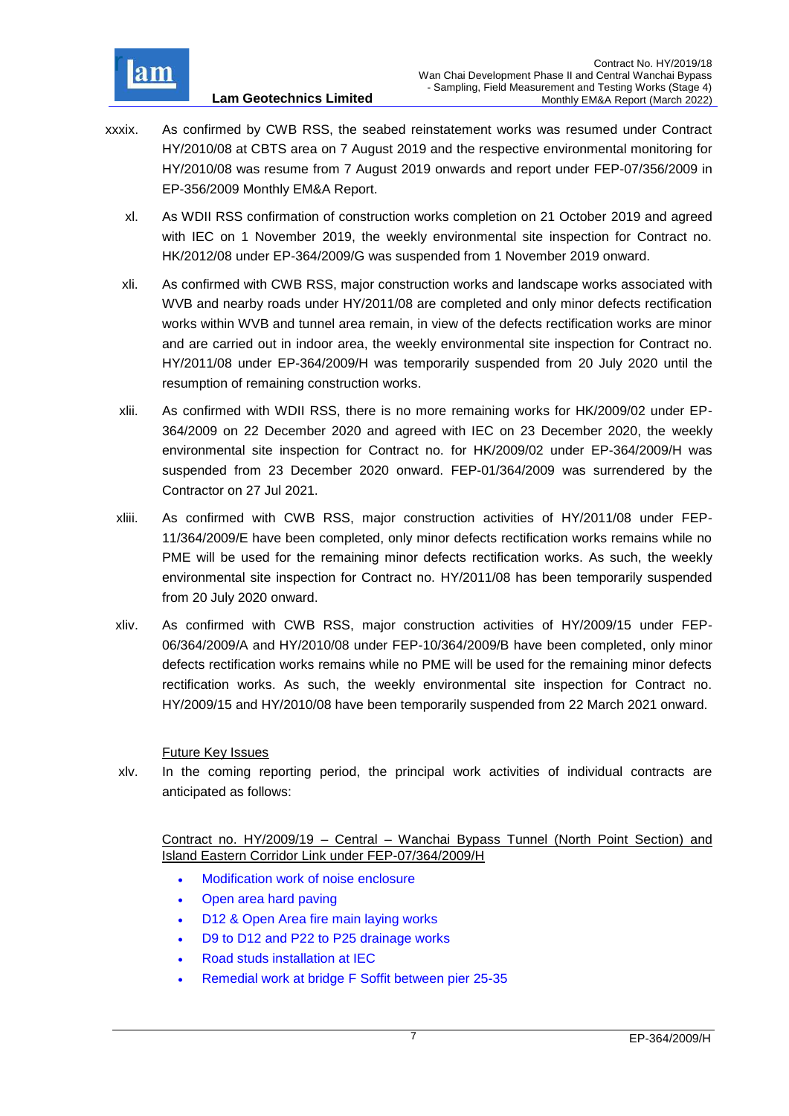

- xxxix. As confirmed by CWB RSS, the seabed reinstatement works was resumed under Contract HY/2010/08 at CBTS area on 7 August 2019 and the respective environmental monitoring for HY/2010/08 was resume from 7 August 2019 onwards and report under FEP-07/356/2009 in EP-356/2009 Monthly EM&A Report.
	- xl. As WDII RSS confirmation of construction works completion on 21 October 2019 and agreed with IEC on 1 November 2019, the weekly environmental site inspection for Contract no. HK/2012/08 under EP-364/2009/G was suspended from 1 November 2019 onward.
	- xli. As confirmed with CWB RSS, major construction works and landscape works associated with WVB and nearby roads under HY/2011/08 are completed and only minor defects rectification works within WVB and tunnel area remain, in view of the defects rectification works are minor and are carried out in indoor area, the weekly environmental site inspection for Contract no. HY/2011/08 under EP-364/2009/H was temporarily suspended from 20 July 2020 until the resumption of remaining construction works.
	- xlii. As confirmed with WDII RSS, there is no more remaining works for HK/2009/02 under EP-364/2009 on 22 December 2020 and agreed with IEC on 23 December 2020, the weekly environmental site inspection for Contract no. for HK/2009/02 under EP-364/2009/H was suspended from 23 December 2020 onward. FEP-01/364/2009 was surrendered by the Contractor on 27 Jul 2021.
	- xliii. As confirmed with CWB RSS, major construction activities of HY/2011/08 under FEP-11/364/2009/E have been completed, only minor defects rectification works remains while no PME will be used for the remaining minor defects rectification works. As such, the weekly environmental site inspection for Contract no. HY/2011/08 has been temporarily suspended from 20 July 2020 onward.
	- xliv. As confirmed with CWB RSS, major construction activities of HY/2009/15 under FEP-06/364/2009/A and HY/2010/08 under FEP-10/364/2009/B have been completed, only minor defects rectification works remains while no PME will be used for the remaining minor defects rectification works. As such, the weekly environmental site inspection for Contract no. HY/2009/15 and HY/2010/08 have been temporarily suspended from 22 March 2021 onward.

Future Key Issues

xlv. In the coming reporting period, the principal work activities of individual contracts are anticipated as follows:

Contract no. HY/2009/19 – Central – Wanchai Bypass Tunnel (North Point Section) and Island Eastern Corridor Link under FEP-07/364/2009/H

- Modification work of noise enclosure
- Open area hard paving
- D12 & Open Area fire main laying works
- D9 to D12 and P22 to P25 drainage works
- Road studs installation at IEC
- Remedial work at bridge F Soffit between pier 25-35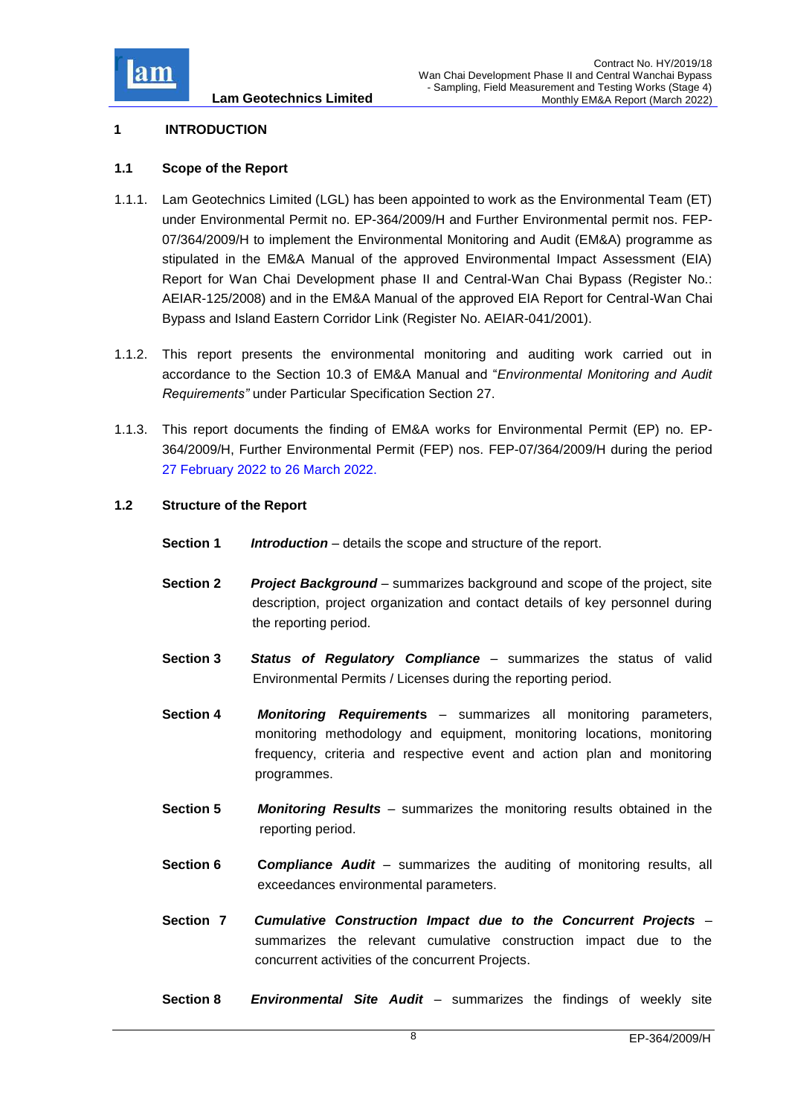

## <span id="page-8-0"></span>**1 INTRODUCTION**

## <span id="page-8-1"></span>**1.1 Scope of the Report**

- 1.1.1. Lam Geotechnics Limited (LGL) has been appointed to work as the Environmental Team (ET) under Environmental Permit no. EP-364/2009/H and Further Environmental permit nos. FEP-07/364/2009/H to implement the Environmental Monitoring and Audit (EM&A) programme as stipulated in the EM&A Manual of the approved Environmental Impact Assessment (EIA) Report for Wan Chai Development phase II and Central-Wan Chai Bypass (Register No.: AEIAR-125/2008) and in the EM&A Manual of the approved EIA Report for Central-Wan Chai Bypass and Island Eastern Corridor Link (Register No. AEIAR-041/2001).
- 1.1.2. This report presents the environmental monitoring and auditing work carried out in accordance to the Section 10.3 of EM&A Manual and "*Environmental Monitoring and Audit Requirements"* under Particular Specification Section 27.
- 1.1.3. This report documents the finding of EM&A works for Environmental Permit (EP) no. EP-364/2009/H, Further Environmental Permit (FEP) nos. FEP-07/364/2009/H during the period 27 February 2022 to 26 March 2022.

### <span id="page-8-2"></span>**1.2 Structure of the Report**

- **Section 1** *Introduction* details the scope and structure of the report.
- **Section 2** *Project Background* summarizes background and scope of the project, site description, project organization and contact details of key personnel during the reporting period.
- **Section 3** *Status of Regulatory Compliance* summarizes the status of valid Environmental Permits / Licenses during the reporting period.
- **Section 4** *Monitoring Requirement***s** summarizes all monitoring parameters, monitoring methodology and equipment, monitoring locations, monitoring frequency, criteria and respective event and action plan and monitoring programmes.
- **Section 5** *Monitoring Results* summarizes the monitoring results obtained in the reporting period.
- **Section 6 Compliance Audit** summarizes the auditing of monitoring results, all exceedances environmental parameters.
- **Section 7** *Cumulative Construction Impact due to the Concurrent Projects*  summarizes the relevant cumulative construction impact due to the concurrent activities of the concurrent Projects.
- **Section 8** *Environmental Site Audit* summarizes the findings of weekly site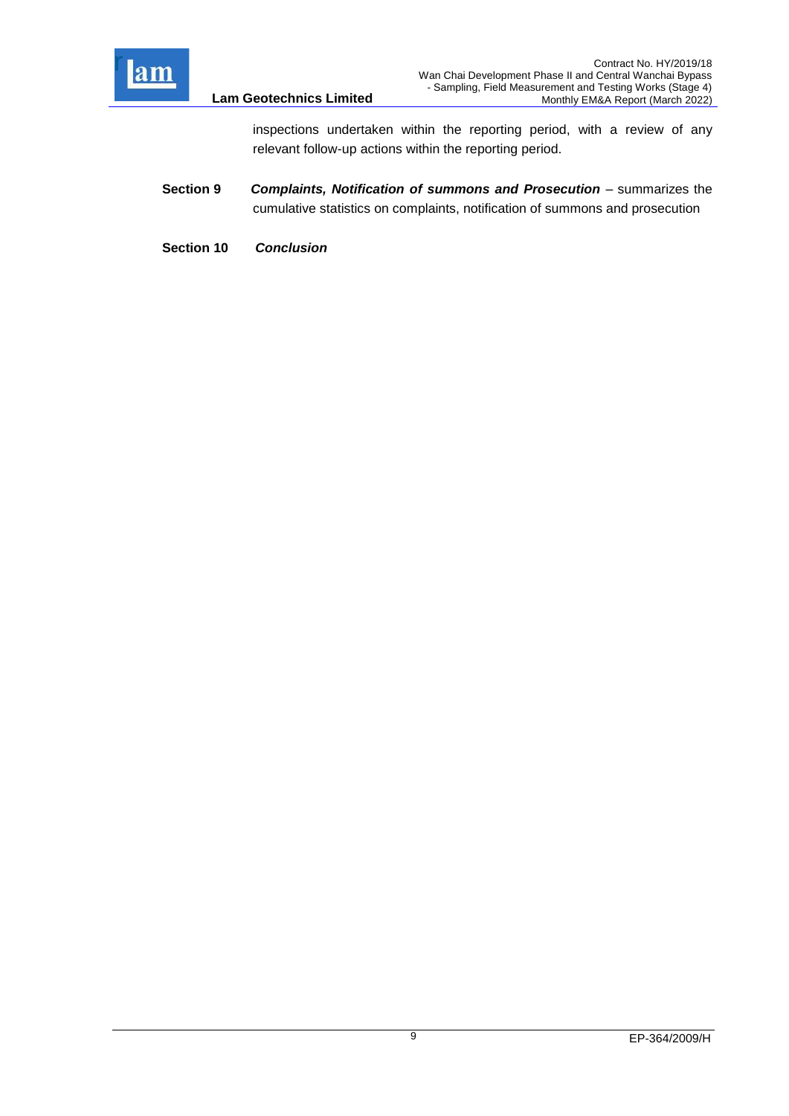

inspections undertaken within the reporting period, with a review of any relevant follow-up actions within the reporting period.

- **Section 9** *Complaints, Notification of summons and Prosecution –* summarizes the cumulative statistics on complaints, notification of summons and prosecution
- **Section 10** *Conclusion*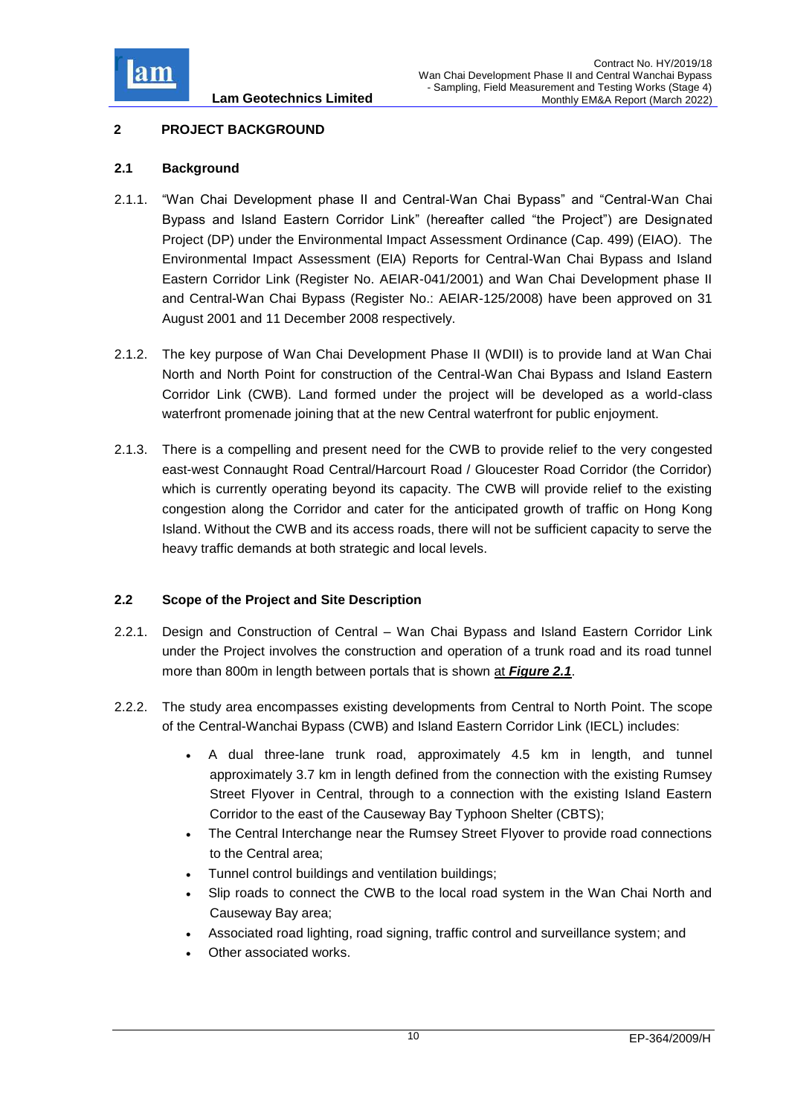

## <span id="page-10-0"></span>**2 PROJECT BACKGROUND**

## <span id="page-10-1"></span>**2.1 Background**

- 2.1.1. "Wan Chai Development phase II and Central-Wan Chai Bypass" and "Central-Wan Chai Bypass and Island Eastern Corridor Link" (hereafter called "the Project") are Designated Project (DP) under the Environmental Impact Assessment Ordinance (Cap. 499) (EIAO). The Environmental Impact Assessment (EIA) Reports for Central-Wan Chai Bypass and Island Eastern Corridor Link (Register No. AEIAR-041/2001) and Wan Chai Development phase II and Central-Wan Chai Bypass (Register No.: AEIAR-125/2008) have been approved on 31 August 2001 and 11 December 2008 respectively.
- 2.1.2. The key purpose of Wan Chai Development Phase II (WDII) is to provide land at Wan Chai North and North Point for construction of the Central-Wan Chai Bypass and Island Eastern Corridor Link (CWB). Land formed under the project will be developed as a world-class waterfront promenade joining that at the new Central waterfront for public enjoyment.
- 2.1.3. There is a compelling and present need for the CWB to provide relief to the very congested east-west Connaught Road Central/Harcourt Road / Gloucester Road Corridor (the Corridor) which is currently operating beyond its capacity. The CWB will provide relief to the existing congestion along the Corridor and cater for the anticipated growth of traffic on Hong Kong Island. Without the CWB and its access roads, there will not be sufficient capacity to serve the heavy traffic demands at both strategic and local levels.

## <span id="page-10-2"></span>**2.2 Scope of the Project and Site Description**

- 2.2.1. Design and Construction of Central Wan Chai Bypass and Island Eastern Corridor Link under the Project involves the construction and operation of a trunk road and its road tunnel more than 800m in length between portals that is shown at *[Figure 2.1](Attachment/Fig2.1_Project%20Layout.pdf)*.
- 2.2.2. The study area encompasses existing developments from Central to North Point. The scope of the Central-Wanchai Bypass (CWB) and Island Eastern Corridor Link (IECL) includes:
	- A dual three-lane trunk road, approximately 4.5 km in length, and tunnel approximately 3.7 km in length defined from the connection with the existing Rumsey Street Flyover in Central, through to a connection with the existing Island Eastern Corridor to the east of the Causeway Bay Typhoon Shelter (CBTS);
	- The Central Interchange near the Rumsey Street Flyover to provide road connections to the Central area;
	- Tunnel control buildings and ventilation buildings;
	- Slip roads to connect the CWB to the local road system in the Wan Chai North and Causeway Bay area;
	- Associated road lighting, road signing, traffic control and surveillance system; and
	- Other associated works.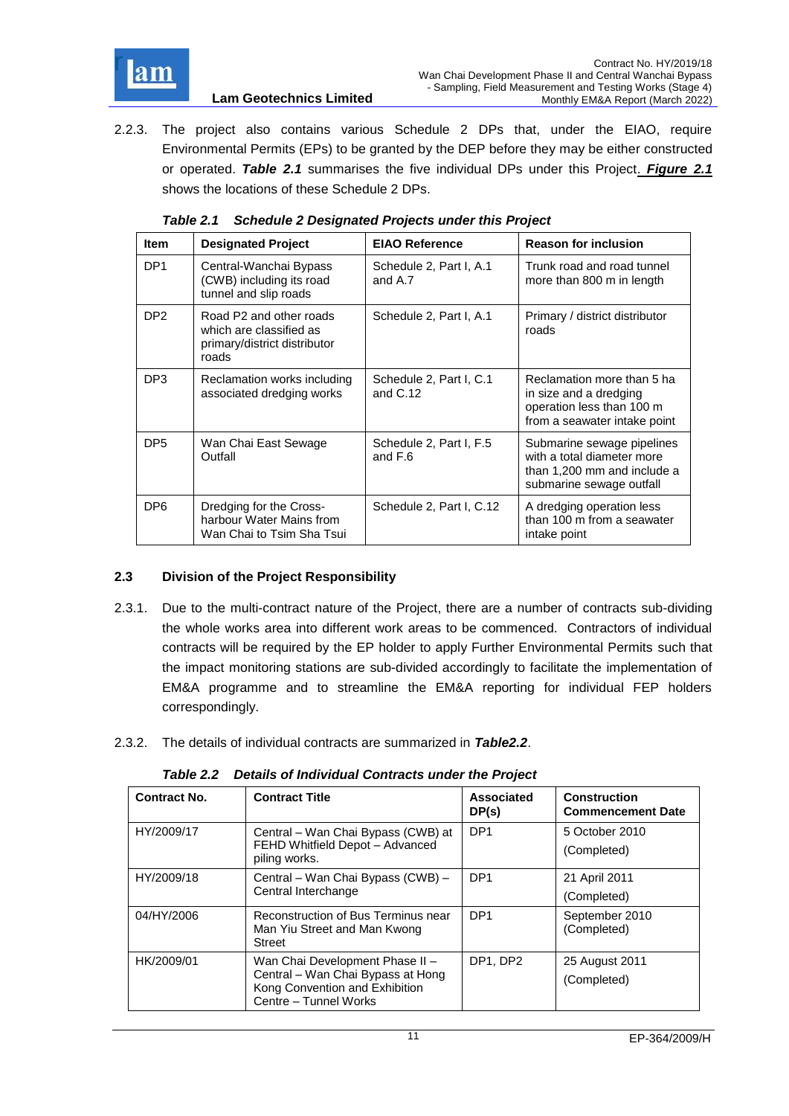

2.2.3. The project also contains various Schedule 2 DPs that, under the EIAO, require Environmental Permits (EPs) to be granted by the DEP before they may be either constructed or operated. *Table 2.1* summarises the five individual DPs under this Project. *[Figure 2.1](../Attachment/Fig2.1_Project%20Layout.pdf)* shows the locations of these Schedule 2 DPs.

<span id="page-11-1"></span>

| <b>Item</b>     | <b>Designated Project</b>                                                                   | <b>EIAO Reference</b>                 | <b>Reason for inclusion</b>                                                                                         |
|-----------------|---------------------------------------------------------------------------------------------|---------------------------------------|---------------------------------------------------------------------------------------------------------------------|
| DP <sub>1</sub> | Central-Wanchai Bypass<br>(CWB) including its road<br>tunnel and slip roads                 | Schedule 2, Part I, A.1<br>and A.7    | Trunk road and road tunnel<br>more than 800 m in length                                                             |
| DP <sub>2</sub> | Road P2 and other roads<br>which are classified as<br>primary/district distributor<br>roads | Schedule 2, Part I, A.1               | Primary / district distributor<br>roads                                                                             |
| DP <sub>3</sub> | Reclamation works including<br>associated dredging works                                    | Schedule 2, Part I, C.1<br>and $C.12$ | Reclamation more than 5 ha<br>in size and a dredging<br>operation less than 100 m<br>from a seawater intake point   |
| DP <sub>5</sub> | Wan Chai East Sewage<br>Outfall                                                             | Schedule 2, Part I, F.5<br>and F.6    | Submarine sewage pipelines<br>with a total diameter more<br>than 1,200 mm and include a<br>submarine sewage outfall |
| DP <sub>6</sub> | Dredging for the Cross-<br>harbour Water Mains from<br>Wan Chai to Tsim Sha Tsui            | Schedule 2, Part I, C.12              | A dredging operation less<br>than 100 m from a seawater<br>intake point                                             |

| Table 2.1 Schedule 2 Designated Projects under this Project |
|-------------------------------------------------------------|
|                                                             |

## <span id="page-11-0"></span>**2.3 Division of the Project Responsibility**

- 2.3.1. Due to the multi-contract nature of the Project, there are a number of contracts sub-dividing the whole works area into different work areas to be commenced. Contractors of individual contracts will be required by the EP holder to apply Further Environmental Permits such that the impact monitoring stations are sub-divided accordingly to facilitate the implementation of EM&A programme and to streamline the EM&A reporting for individual FEP holders correspondingly.
- 2.3.2. The details of individual contracts are summarized in *Table2.2*.

*Table 2.2 Details of Individual Contracts under the Project*

<span id="page-11-2"></span>

| <b>Contract No.</b> | <b>Contract Title</b>                                                                                                           | <b>Associated</b><br>DP(s) | <b>Construction</b><br><b>Commencement Date</b> |
|---------------------|---------------------------------------------------------------------------------------------------------------------------------|----------------------------|-------------------------------------------------|
| HY/2009/17          | Central – Wan Chai Bypass (CWB) at<br>FEHD Whitfield Depot - Advanced<br>piling works.                                          | DP <sub>1</sub>            | 5 October 2010<br>(Completed)                   |
| HY/2009/18          | Central - Wan Chai Bypass (CWB) -<br>Central Interchange                                                                        | DP <sub>1</sub>            | 21 April 2011<br>(Completed)                    |
| 04/HY/2006          | Reconstruction of Bus Terminus near<br>Man Yiu Street and Man Kwong<br>Street                                                   | DP <sub>1</sub>            | September 2010<br>(Completed)                   |
| HK/2009/01          | Wan Chai Development Phase II -<br>Central - Wan Chai Bypass at Hong<br>Kong Convention and Exhibition<br>Centre - Tunnel Works | DP1, DP2                   | 25 August 2011<br>(Completed)                   |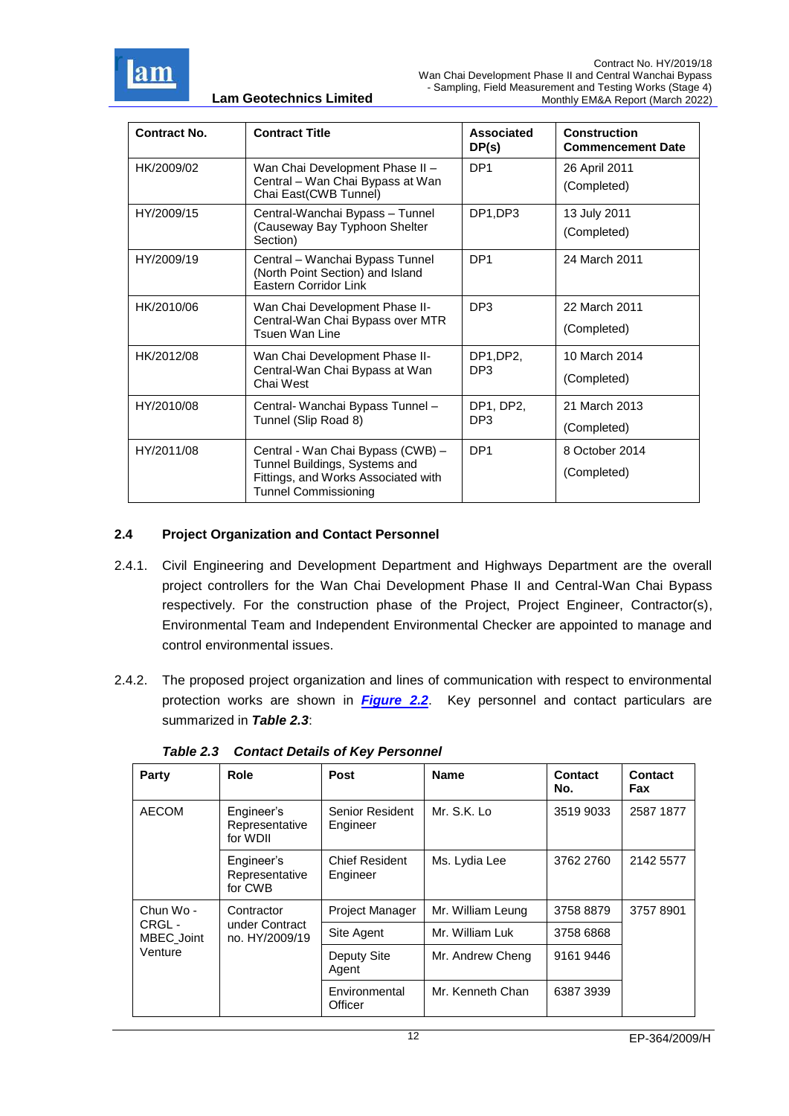

| Contract No. | <b>Contract Title</b>                                                                               | Associated<br>DP(s) | Construction<br><b>Commencement Date</b> |
|--------------|-----------------------------------------------------------------------------------------------------|---------------------|------------------------------------------|
| HK/2009/02   | Wan Chai Development Phase II -                                                                     | DP <sub>1</sub>     | 26 April 2011                            |
|              | Central - Wan Chai Bypass at Wan<br>Chai East(CWB Tunnel)                                           |                     | (Completed)                              |
| HY/2009/15   | Central-Wanchai Bypass - Tunnel                                                                     | DP1,DP3             | 13 July 2011                             |
|              | (Causeway Bay Typhoon Shelter<br>Section)                                                           |                     | (Completed)                              |
| HY/2009/19   | Central – Wanchai Bypass Tunnel<br>(North Point Section) and Island<br><b>Eastern Corridor Link</b> | DP <sub>1</sub>     | 24 March 2011                            |
| HK/2010/06   | Wan Chai Development Phase II-                                                                      | DP <sub>3</sub>     | 22 March 2011                            |
|              | Central-Wan Chai Bypass over MTR<br>Tsuen Wan Line                                                  |                     | (Completed)                              |
| HK/2012/08   | Wan Chai Development Phase II-                                                                      | DP1,DP2,            | 10 March 2014                            |
|              | Central-Wan Chai Bypass at Wan<br>DP3<br>Chai West                                                  |                     | (Completed)                              |
| HY/2010/08   | Central- Wanchai Bypass Tunnel -                                                                    | DP1, DP2,           | 21 March 2013                            |
|              | Tunnel (Slip Road 8)                                                                                | DP <sub>3</sub>     | (Completed)                              |
| HY/2011/08   | Central - Wan Chai Bypass (CWB) -                                                                   | DP <sub>1</sub>     | 8 October 2014                           |
|              | Tunnel Buildings, Systems and<br>Fittings, and Works Associated with<br><b>Tunnel Commissioning</b> |                     | (Completed)                              |

## <span id="page-12-0"></span>**2.4 Project Organization and Contact Personnel**

- 2.4.1. Civil Engineering and Development Department and Highways Department are the overall project controllers for the Wan Chai Development Phase II and Central-Wan Chai Bypass respectively. For the construction phase of the Project, Project Engineer, Contractor(s), Environmental Team and Independent Environmental Checker are appointed to manage and control environmental issues.
- 2.4.2. The proposed project organization and lines of communication with respect to environmental protection works are shown in *[Figure 2.2](../Attachment/Fig2.2_Project%20Orgchart.pdf)*. Key personnel and contact particulars are summarized in *Table 2.3*:

<span id="page-12-1"></span>

| Party                | Role                                           | <b>Post</b>                       | <b>Name</b>       | Contact<br>No. | Contact<br>Fax |
|----------------------|------------------------------------------------|-----------------------------------|-------------------|----------------|----------------|
| <b>AECOM</b>         | Engineer's<br>Representative<br>for WDII       | Senior Resident<br>Engineer       | Mr. S.K. Lo       | 3519 9033      | 2587 1877      |
|                      | Engineer's<br>Representative<br>for CWB        | <b>Chief Resident</b><br>Engineer | Ms. Lydia Lee     | 3762 2760      | 2142 5577      |
| Chun Wo -            | Contractor<br>under Contract<br>no. HY/2009/19 | <b>Project Manager</b>            | Mr. William Leung | 3758 8879      | 37578901       |
| CRGL -<br>MBEC_Joint |                                                | Site Agent                        | Mr. William Luk   | 3758 6868      |                |
| Venture              |                                                | Deputy Site<br>Agent              | Mr. Andrew Cheng  | 9161 9446      |                |
|                      |                                                | Environmental<br>Officer          | Mr. Kenneth Chan  | 6387 3939      |                |

*Table 2.3 Contact Details of Key Personnel*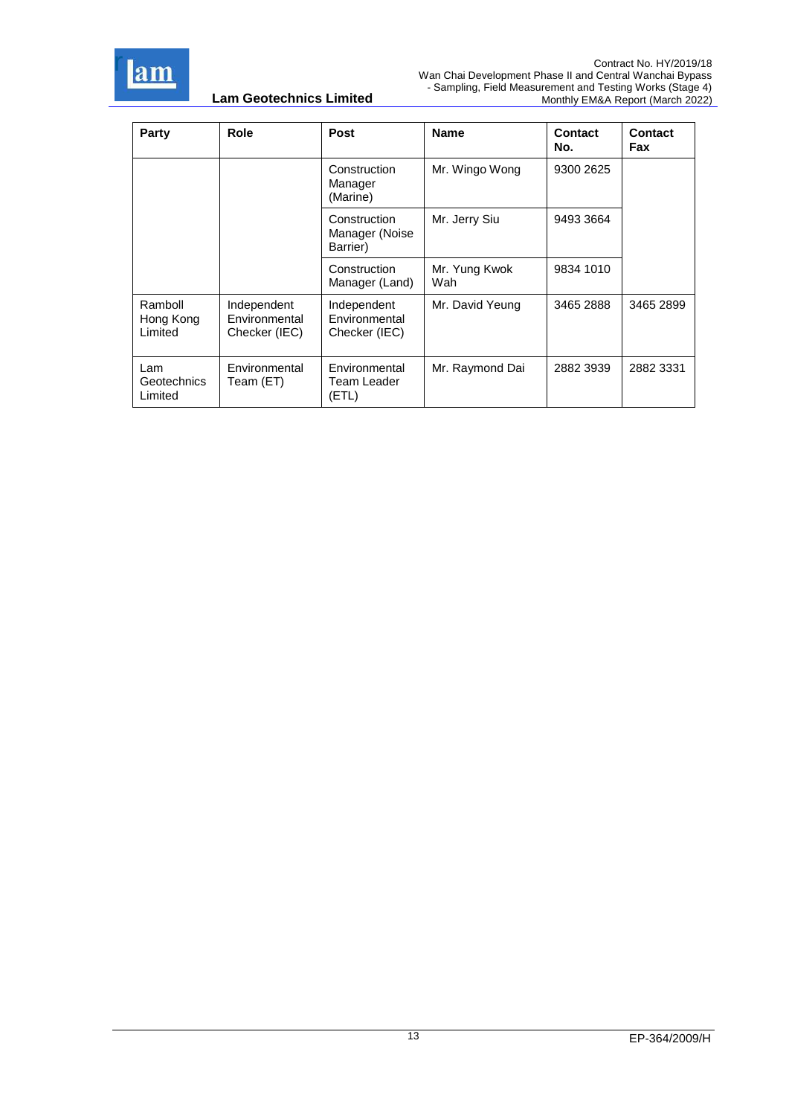

| Party                           | Role                                          | Post                                          | <b>Name</b>          | <b>Contact</b><br>No. | <b>Contact</b><br>Fax |
|---------------------------------|-----------------------------------------------|-----------------------------------------------|----------------------|-----------------------|-----------------------|
|                                 |                                               | Construction<br>Manager<br>(Marine)           | Mr. Wingo Wong       | 9300 2625             |                       |
|                                 |                                               | Construction<br>Manager (Noise<br>Barrier)    | Mr. Jerry Siu        | 9493 3664             |                       |
|                                 |                                               | Construction<br>Manager (Land)                | Mr. Yung Kwok<br>Wah | 9834 1010             |                       |
| Ramboll<br>Hong Kong<br>Limited | Independent<br>Environmental<br>Checker (IEC) | Independent<br>Environmental<br>Checker (IEC) | Mr. David Yeung      | 3465 2888             | 3465 2899             |
| Lam<br>Geotechnics<br>Limited   | Environmental<br>Team (ET)                    | Environmental<br>Team Leader<br>(ETL)         | Mr. Raymond Dai      | 2882 3939             | 2882 3331             |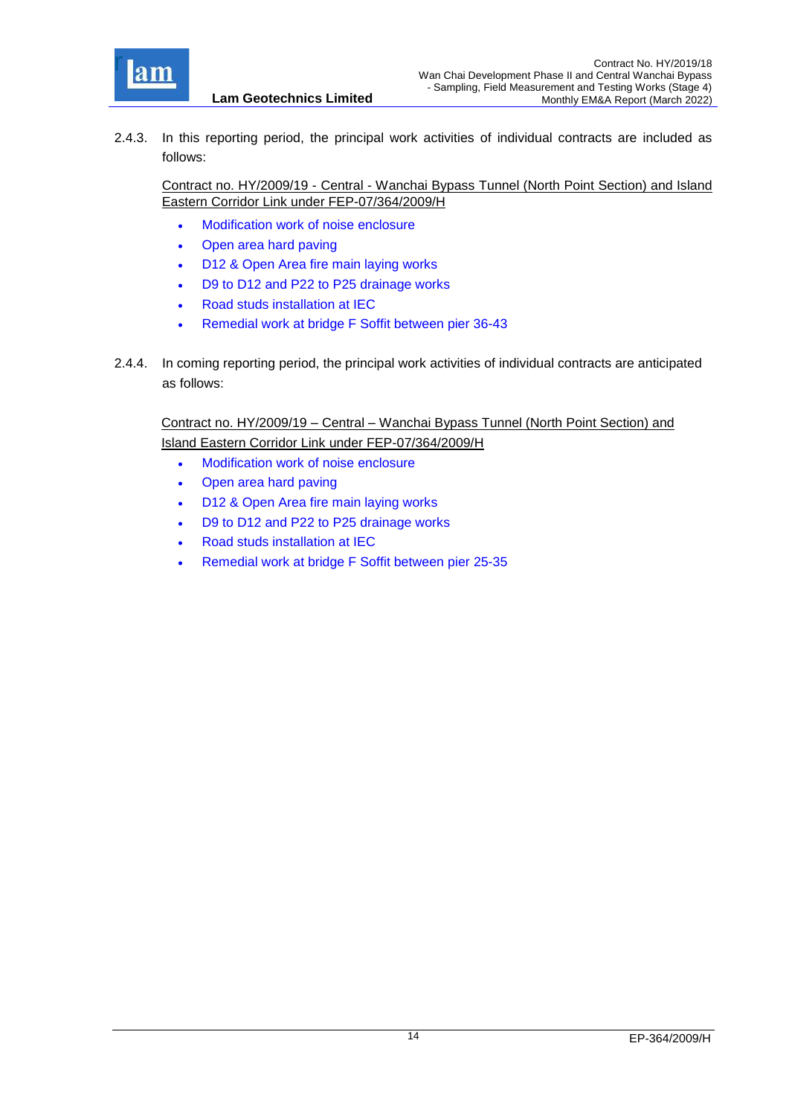

2.4.3. In this reporting period, the principal work activities of individual contracts are included as follows:

Contract no. HY/2009/19 - Central - Wanchai Bypass Tunnel (North Point Section) and Island Eastern Corridor Link under FEP-07/364/2009/H

- Modification work of noise enclosure
- Open area hard paving
- D12 & Open Area fire main laying works
- D9 to D12 and P22 to P25 drainage works
- Road studs installation at IEC
- Remedial work at bridge F Soffit between pier 36-43
- 2.4.4. In coming reporting period, the principal work activities of individual contracts are anticipated as follows:

<span id="page-14-0"></span>Contract no. HY/2009/19 – Central – Wanchai Bypass Tunnel (North Point Section) and Island Eastern Corridor Link under FEP-07/364/2009/H

- Modification work of noise enclosure
- Open area hard paving
- D12 & Open Area fire main laying works
- D9 to D12 and P22 to P25 drainage works
- Road studs installation at IEC
- Remedial work at bridge F Soffit between pier 25-35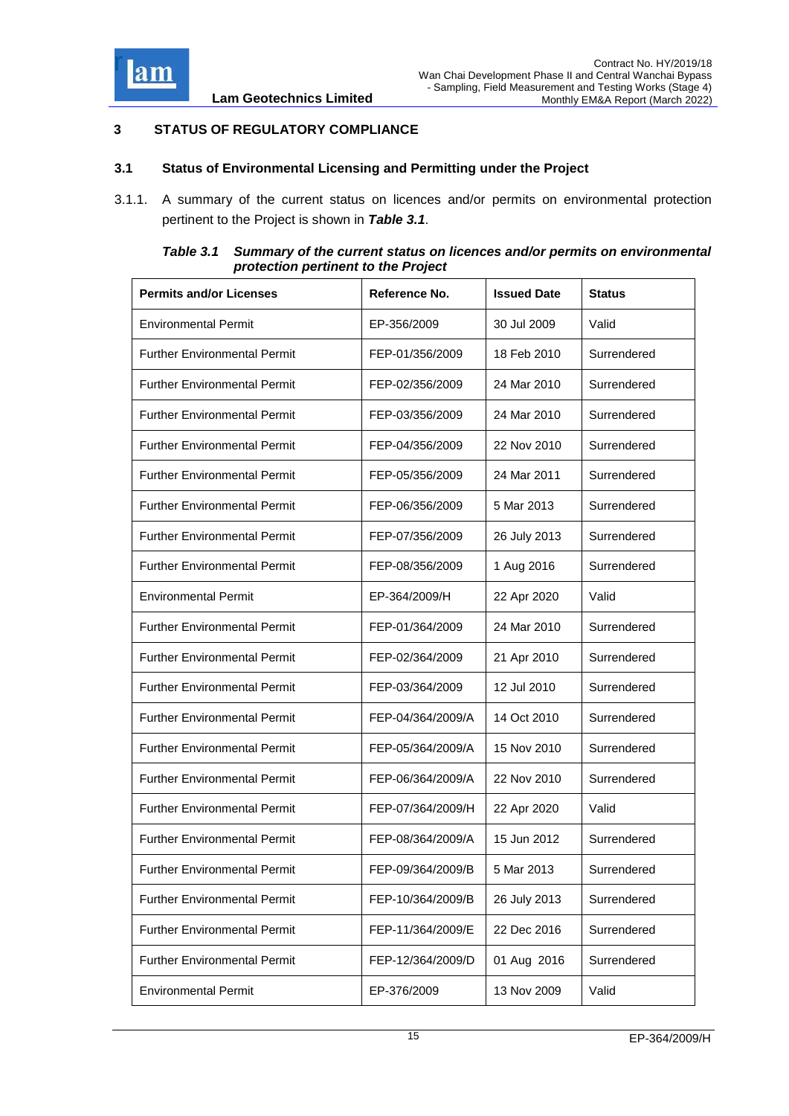

## **3 STATUS OF REGULATORY COMPLIANCE**

### <span id="page-15-0"></span>**3.1 Status of Environmental Licensing and Permitting under the Project**

3.1.1. A summary of the current status on licences and/or permits on environmental protection pertinent to the Project is shown in *Table 3.1*.

| Table 3.1 | Summary of the current status on licences and/or permits on environmental |
|-----------|---------------------------------------------------------------------------|
|           | protection pertinent to the Project                                       |

<span id="page-15-1"></span>

| <b>Permits and/or Licenses</b>      | Reference No.     | <b>Issued Date</b> | Status      |
|-------------------------------------|-------------------|--------------------|-------------|
| <b>Environmental Permit</b>         | EP-356/2009       | 30 Jul 2009        | Valid       |
| <b>Further Environmental Permit</b> | FEP-01/356/2009   | 18 Feb 2010        | Surrendered |
| <b>Further Environmental Permit</b> | FEP-02/356/2009   | 24 Mar 2010        | Surrendered |
| <b>Further Environmental Permit</b> | FEP-03/356/2009   | 24 Mar 2010        | Surrendered |
| <b>Further Environmental Permit</b> | FEP-04/356/2009   | 22 Nov 2010        | Surrendered |
| <b>Further Environmental Permit</b> | FEP-05/356/2009   | 24 Mar 2011        | Surrendered |
| <b>Further Environmental Permit</b> | FEP-06/356/2009   | 5 Mar 2013         | Surrendered |
| <b>Further Environmental Permit</b> | FEP-07/356/2009   | 26 July 2013       | Surrendered |
| <b>Further Environmental Permit</b> | FEP-08/356/2009   | 1 Aug 2016         | Surrendered |
| <b>Environmental Permit</b>         | EP-364/2009/H     | 22 Apr 2020        | Valid       |
| <b>Further Environmental Permit</b> | FEP-01/364/2009   | 24 Mar 2010        | Surrendered |
| <b>Further Environmental Permit</b> | FEP-02/364/2009   | 21 Apr 2010        | Surrendered |
| <b>Further Environmental Permit</b> | FEP-03/364/2009   | 12 Jul 2010        | Surrendered |
| <b>Further Environmental Permit</b> | FEP-04/364/2009/A | 14 Oct 2010        | Surrendered |
| <b>Further Environmental Permit</b> | FEP-05/364/2009/A | 15 Nov 2010        | Surrendered |
| <b>Further Environmental Permit</b> | FEP-06/364/2009/A | 22 Nov 2010        | Surrendered |
| <b>Further Environmental Permit</b> | FEP-07/364/2009/H | 22 Apr 2020        | Valid       |
| <b>Further Environmental Permit</b> | FEP-08/364/2009/A | 15 Jun 2012        | Surrendered |
| <b>Further Environmental Permit</b> | FEP-09/364/2009/B | 5 Mar 2013         | Surrendered |
| <b>Further Environmental Permit</b> | FEP-10/364/2009/B | 26 July 2013       | Surrendered |
| <b>Further Environmental Permit</b> | FEP-11/364/2009/E | 22 Dec 2016        | Surrendered |
| <b>Further Environmental Permit</b> | FEP-12/364/2009/D | 01 Aug 2016        | Surrendered |
| <b>Environmental Permit</b>         | EP-376/2009       | 13 Nov 2009        | Valid       |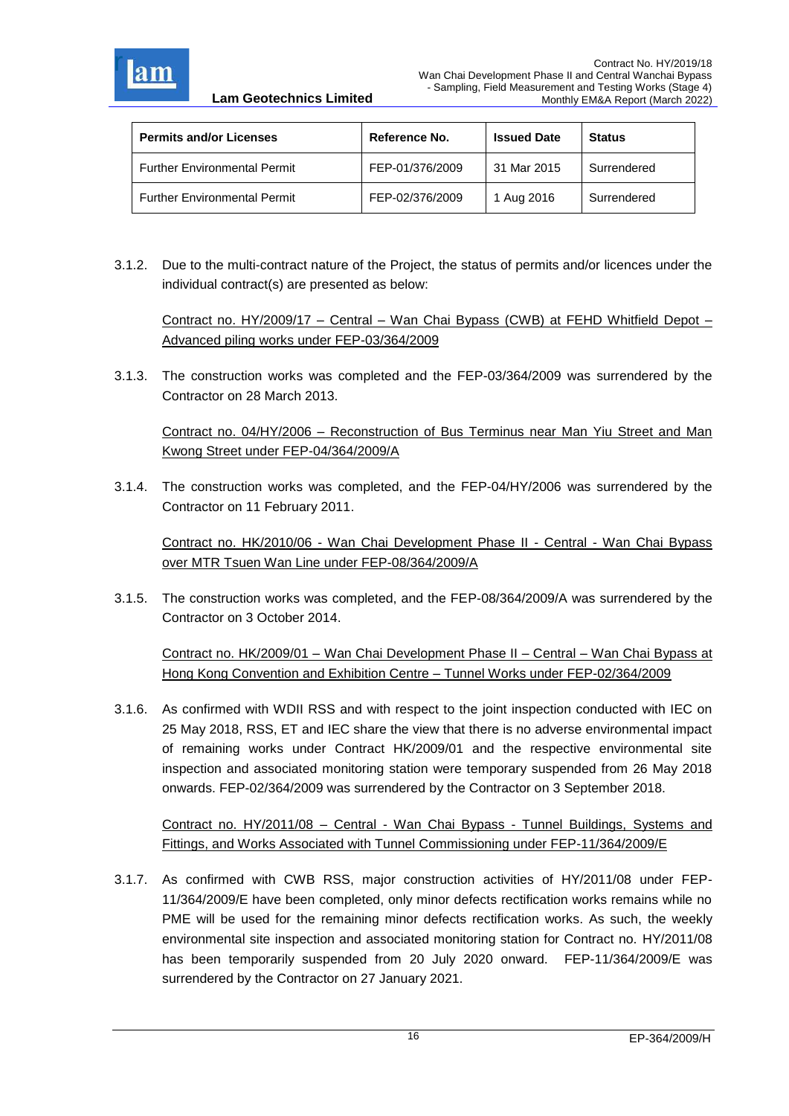

| <b>Permits and/or Licenses</b>      | Reference No.   | <b>Issued Date</b> | <b>Status</b> |
|-------------------------------------|-----------------|--------------------|---------------|
| <b>Further Environmental Permit</b> | FEP-01/376/2009 | 31 Mar 2015        | Surrendered   |
| <b>Further Environmental Permit</b> | FEP-02/376/2009 | 1 Aug 2016         | Surrendered   |

3.1.2. Due to the multi-contract nature of the Project, the status of permits and/or licences under the individual contract(s) are presented as below:

Contract no. HY/2009/17 – Central – Wan Chai Bypass (CWB) at FEHD Whitfield Depot – Advanced piling works under FEP-03/364/2009

3.1.3. The construction works was completed and the FEP-03/364/2009 was surrendered by the Contractor on 28 March 2013.

Contract no. 04/HY/2006 – Reconstruction of Bus Terminus near Man Yiu Street and Man Kwong Street under FEP-04/364/2009/A

3.1.4. The construction works was completed, and the FEP-04/HY/2006 was surrendered by the Contractor on 11 February 2011.

Contract no. HK/2010/06 - Wan Chai Development Phase II - Central - Wan Chai Bypass over MTR Tsuen Wan Line under FEP-08/364/2009/A

3.1.5. The construction works was completed, and the FEP-08/364/2009/A was surrendered by the Contractor on 3 October 2014.

Contract no. HK/2009/01 – Wan Chai Development Phase II – Central – Wan Chai Bypass at Hong Kong Convention and Exhibition Centre – Tunnel Works under FEP-02/364/2009

3.1.6. As confirmed with WDII RSS and with respect to the joint inspection conducted with IEC on 25 May 2018, RSS, ET and IEC share the view that there is no adverse environmental impact of remaining works under Contract HK/2009/01 and the respective environmental site inspection and associated monitoring station were temporary suspended from 26 May 2018 onwards. FEP-02/364/2009 was surrendered by the Contractor on 3 September 2018.

Contract no. HY/2011/08 – Central - Wan Chai Bypass - Tunnel Buildings, Systems and Fittings, and Works Associated with Tunnel Commissioning under FEP-11/364/2009/E

3.1.7. As confirmed with CWB RSS, major construction activities of HY/2011/08 under FEP-11/364/2009/E have been completed, only minor defects rectification works remains while no PME will be used for the remaining minor defects rectification works. As such, the weekly environmental site inspection and associated monitoring station for Contract no. HY/2011/08 has been temporarily suspended from 20 July 2020 onward. FEP-11/364/2009/E was surrendered by the Contractor on 27 January 2021.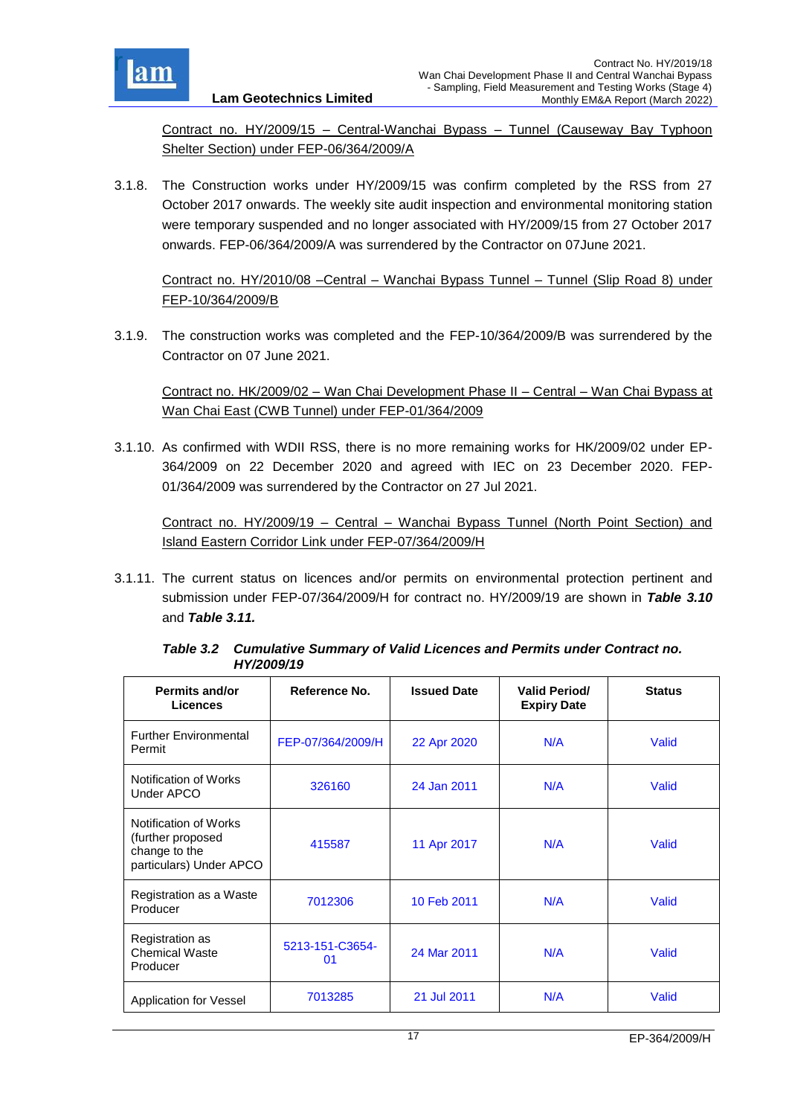

Contract no. HY/2009/15 – Central-Wanchai Bypass – Tunnel (Causeway Bay Typhoon Shelter Section) under FEP-06/364/2009/A

3.1.8. The Construction works under HY/2009/15 was confirm completed by the RSS from 27 October 2017 onwards. The weekly site audit inspection and environmental monitoring station were temporary suspended and no longer associated with HY/2009/15 from 27 October 2017 onwards. FEP-06/364/2009/A was surrendered by the Contractor on 07June 2021.

Contract no. HY/2010/08 –Central – Wanchai Bypass Tunnel – Tunnel (Slip Road 8) under FEP-10/364/2009/B

3.1.9. The construction works was completed and the FEP-10/364/2009/B was surrendered by the Contractor on 07 June 2021.

Contract no. HK/2009/02 – Wan Chai Development Phase II – Central – Wan Chai Bypass at Wan Chai East (CWB Tunnel) under FEP-01/364/2009

3.1.10. As confirmed with WDII RSS, there is no more remaining works for HK/2009/02 under EP-364/2009 on 22 December 2020 and agreed with IEC on 23 December 2020. FEP-01/364/2009 was surrendered by the Contractor on 27 Jul 2021.

Contract no. HY/2009/19 – Central – Wanchai Bypass Tunnel (North Point Section) and Island Eastern Corridor Link under FEP-07/364/2009/H

3.1.11. The current status on licences and/or permits on environmental protection pertinent and submission under FEP-07/364/2009/H for contract no. HY/2009/19 are shown in *Table 3.10* and *Table 3.11.*

<span id="page-17-0"></span>

| <b>Permits and/or</b><br><b>Licences</b>                                               | Reference No.         | <b>Issued Date</b> | <b>Valid Period/</b><br><b>Expiry Date</b> | <b>Status</b> |
|----------------------------------------------------------------------------------------|-----------------------|--------------------|--------------------------------------------|---------------|
| <b>Further Environmental</b><br>Permit                                                 | FEP-07/364/2009/H     | 22 Apr 2020        | N/A                                        | Valid         |
| Notification of Works<br>Under APCO                                                    | 326160                | 24 Jan 2011        | N/A                                        | Valid         |
| Notification of Works<br>(further proposed<br>change to the<br>particulars) Under APCO | 415587                | 11 Apr 2017        | N/A                                        | Valid         |
| Registration as a Waste<br>Producer                                                    | 7012306               | 10 Feb 2011        | N/A                                        | Valid         |
| Registration as<br><b>Chemical Waste</b><br>Producer                                   | 5213-151-C3654-<br>01 | 24 Mar 2011        | N/A                                        | Valid         |
| Application for Vessel                                                                 | 7013285               | 21 Jul 2011        | N/A                                        | Valid         |

*Table 3.2 Cumulative Summary of Valid Licences and Permits under Contract no. HY/2009/19*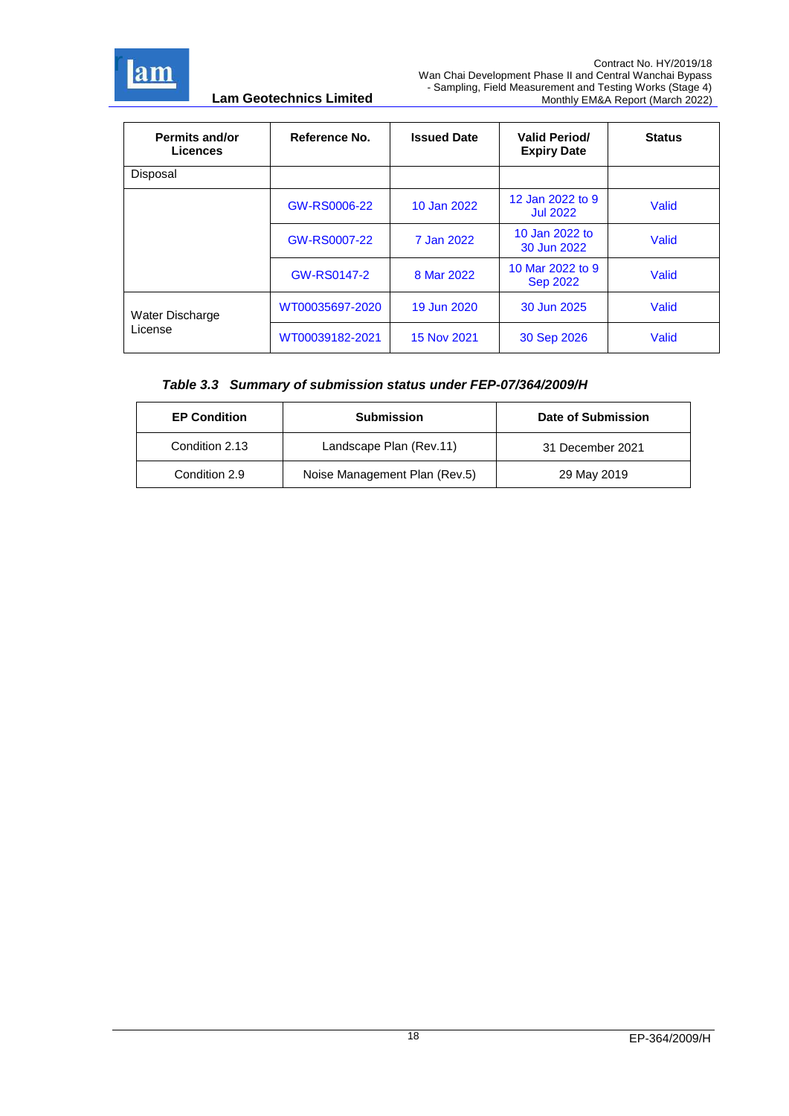

| <b>Permits and/or</b><br><b>Licences</b> | Reference No.   | <b>Issued Date</b> | <b>Valid Period/</b><br><b>Expiry Date</b> | <b>Status</b> |
|------------------------------------------|-----------------|--------------------|--------------------------------------------|---------------|
| Disposal                                 |                 |                    |                                            |               |
|                                          | GW-RS0006-22    | 10 Jan 2022        | 12 Jan 2022 to 9<br><b>Jul 2022</b>        | Valid         |
|                                          | GW-RS0007-22    | 7 Jan 2022         | 10 Jan 2022 to<br>30 Jun 2022              | Valid         |
|                                          | GW-RS0147-2     | 8 Mar 2022         | 10 Mar 2022 to 9<br><b>Sep 2022</b>        | Valid         |
| Water Discharge                          | WT00035697-2020 | 19 Jun 2020        | 30 Jun 2025                                | Valid         |
| License                                  | WT00039182-2021 | 15 Nov 2021        | 30 Sep 2026                                | Valid         |

## *Table 3.3 Summary of submission status under FEP-07/364/2009/H*

| <b>EP Condition</b> | <b>Submission</b>             | Date of Submission |
|---------------------|-------------------------------|--------------------|
| Condition 2.13      | Landscape Plan (Rev.11)       | 31 December 2021   |
| Condition 2.9       | Noise Management Plan (Rev.5) | 29 May 2019        |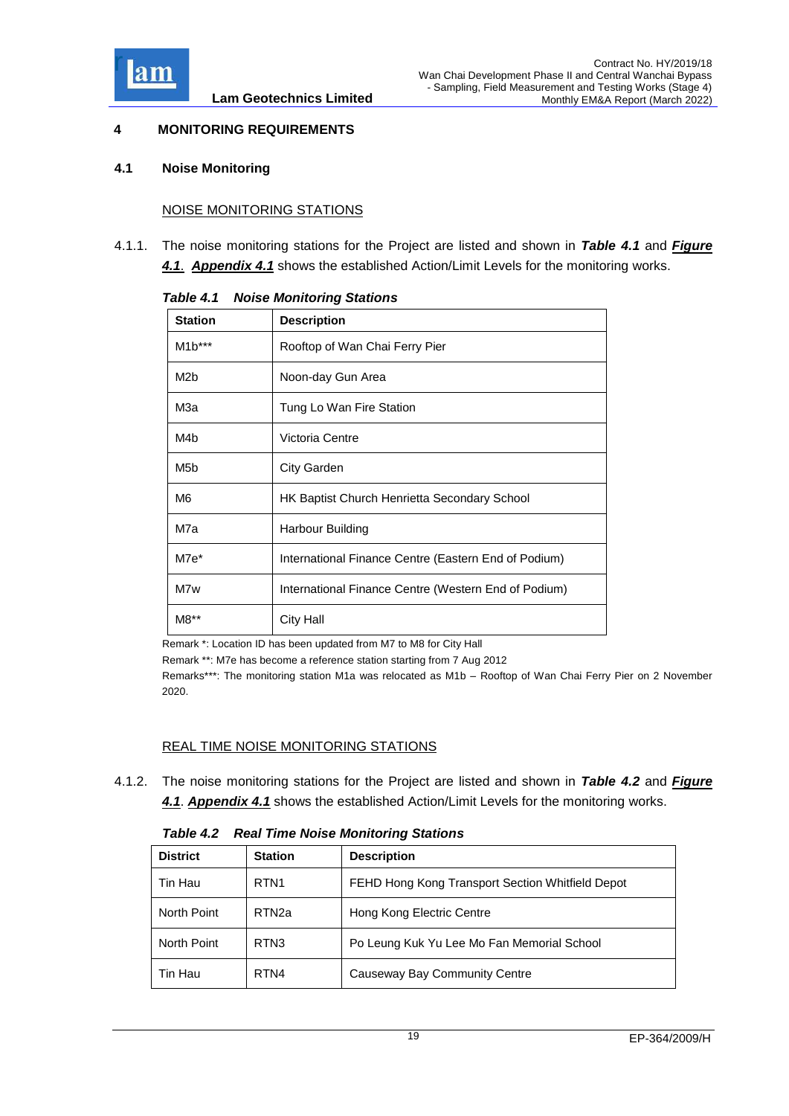

## <span id="page-19-0"></span>**4 MONITORING REQUIREMENTS**

#### <span id="page-19-1"></span>**4.1 Noise Monitoring**

### NOISE MONITORING STATIONS

<span id="page-19-2"></span>4.1.1. The noise monitoring stations for the Project are listed and shown in *Table 4.1* and *[Figure](../Attachment/App4.1%20Action%20and%20Limit%20Level.pdf)  [4.1](../Attachment/App4.1%20Action%20and%20Limit%20Level.pdf)*. *[Appendix 4.1](../Attachment/App4.1%20Action%20and%20Limit%20Level.pdf)* shows the established Action/Limit Levels for the monitoring works.

| <b>Station</b>   | <b>Description</b>                                   |
|------------------|------------------------------------------------------|
| $M1b***$         | Rooftop of Wan Chai Ferry Pier                       |
| M <sub>2</sub> b | Noon-day Gun Area                                    |
| МЗа              | Tung Lo Wan Fire Station                             |
| M4 <sub>b</sub>  | Victoria Centre                                      |
| M <sub>5</sub> b | City Garden                                          |
| M6               | HK Baptist Church Henrietta Secondary School         |
| M7a              | Harbour Building                                     |
| $M7e*$           | International Finance Centre (Eastern End of Podium) |
| M7w              | International Finance Centre (Western End of Podium) |
| M8**             | <b>City Hall</b>                                     |

*Table 4.1 Noise Monitoring Stations*

Remark \*: Location ID has been updated from M7 to M8 for City Hall

Remark \*\*: M7e has become a reference station starting from 7 Aug 2012

Remarks\*\*\*: The monitoring station M1a was relocated as M1b – Rooftop of Wan Chai Ferry Pier on 2 November 2020.

#### REAL TIME NOISE MONITORING STATIONS

<span id="page-19-3"></span>4.1.2. The noise monitoring stations for the Project are listed and shown in *Table 4.2* and *Figure 4.1*. *[Appendix 4.1](../Attachment/App4.1%20Action%20and%20Limit%20Level.pdf)* shows the established Action/Limit Levels for the monitoring works.

| <b>Table 4.2 Real Time Noise Monitoring Stations</b> |
|------------------------------------------------------|
|------------------------------------------------------|

| <b>District</b> | <b>Station</b>    | <b>Description</b>                               |
|-----------------|-------------------|--------------------------------------------------|
| Tin Hau         | RTN <sub>1</sub>  | FEHD Hong Kong Transport Section Whitfield Depot |
| North Point     | RTN <sub>2a</sub> | Hong Kong Electric Centre                        |
| North Point     | RTN <sub>3</sub>  | Po Leung Kuk Yu Lee Mo Fan Memorial School       |
| Tin Hau         | RTN4              | Causeway Bay Community Centre                    |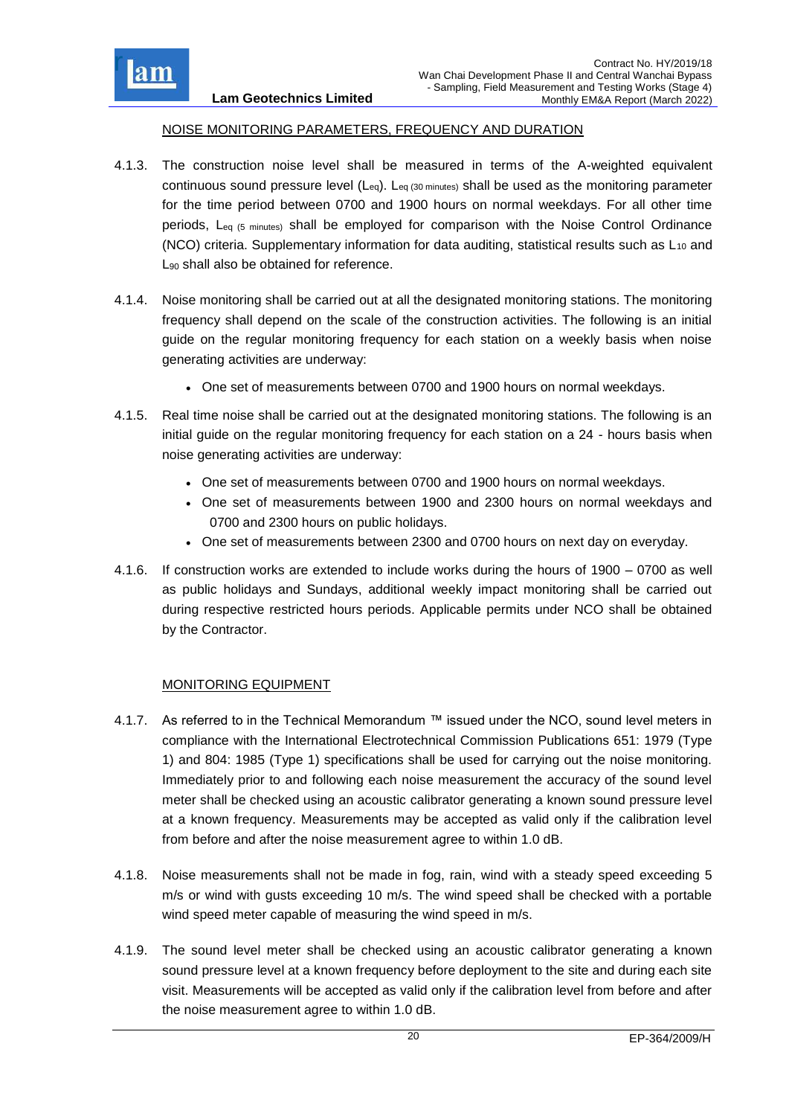

#### NOISE MONITORING PARAMETERS, FREQUENCY AND DURATION

- 4.1.3. The construction noise level shall be measured in terms of the A-weighted equivalent continuous sound pressure level (Leq). Leq (30 minutes) shall be used as the monitoring parameter for the time period between 0700 and 1900 hours on normal weekdays. For all other time periods, Leq (5 minutes) shall be employed for comparison with the Noise Control Ordinance (NCO) criteria. Supplementary information for data auditing, statistical results such as  $L_{10}$  and L<sub>90</sub> shall also be obtained for reference.
- 4.1.4. Noise monitoring shall be carried out at all the designated monitoring stations. The monitoring frequency shall depend on the scale of the construction activities. The following is an initial guide on the regular monitoring frequency for each station on a weekly basis when noise generating activities are underway:
	- One set of measurements between 0700 and 1900 hours on normal weekdays.
- 4.1.5. Real time noise shall be carried out at the designated monitoring stations. The following is an initial guide on the regular monitoring frequency for each station on a 24 - hours basis when noise generating activities are underway:
	- One set of measurements between 0700 and 1900 hours on normal weekdays.
	- One set of measurements between 1900 and 2300 hours on normal weekdays and 0700 and 2300 hours on public holidays.
	- One set of measurements between 2300 and 0700 hours on next day on everyday.
- 4.1.6. If construction works are extended to include works during the hours of 1900 0700 as well as public holidays and Sundays, additional weekly impact monitoring shall be carried out during respective restricted hours periods. Applicable permits under NCO shall be obtained by the Contractor.

## MONITORING EQUIPMENT

- 4.1.7. As referred to in the Technical Memorandum ™ issued under the NCO, sound level meters in compliance with the International Electrotechnical Commission Publications 651: 1979 (Type 1) and 804: 1985 (Type 1) specifications shall be used for carrying out the noise monitoring. Immediately prior to and following each noise measurement the accuracy of the sound level meter shall be checked using an acoustic calibrator generating a known sound pressure level at a known frequency. Measurements may be accepted as valid only if the calibration level from before and after the noise measurement agree to within 1.0 dB.
- 4.1.8. Noise measurements shall not be made in fog, rain, wind with a steady speed exceeding 5 m/s or wind with gusts exceeding 10 m/s. The wind speed shall be checked with a portable wind speed meter capable of measuring the wind speed in m/s.
- 4.1.9. The sound level meter shall be checked using an acoustic calibrator generating a known sound pressure level at a known frequency before deployment to the site and during each site visit. Measurements will be accepted as valid only if the calibration level from before and after the noise measurement agree to within 1.0 dB.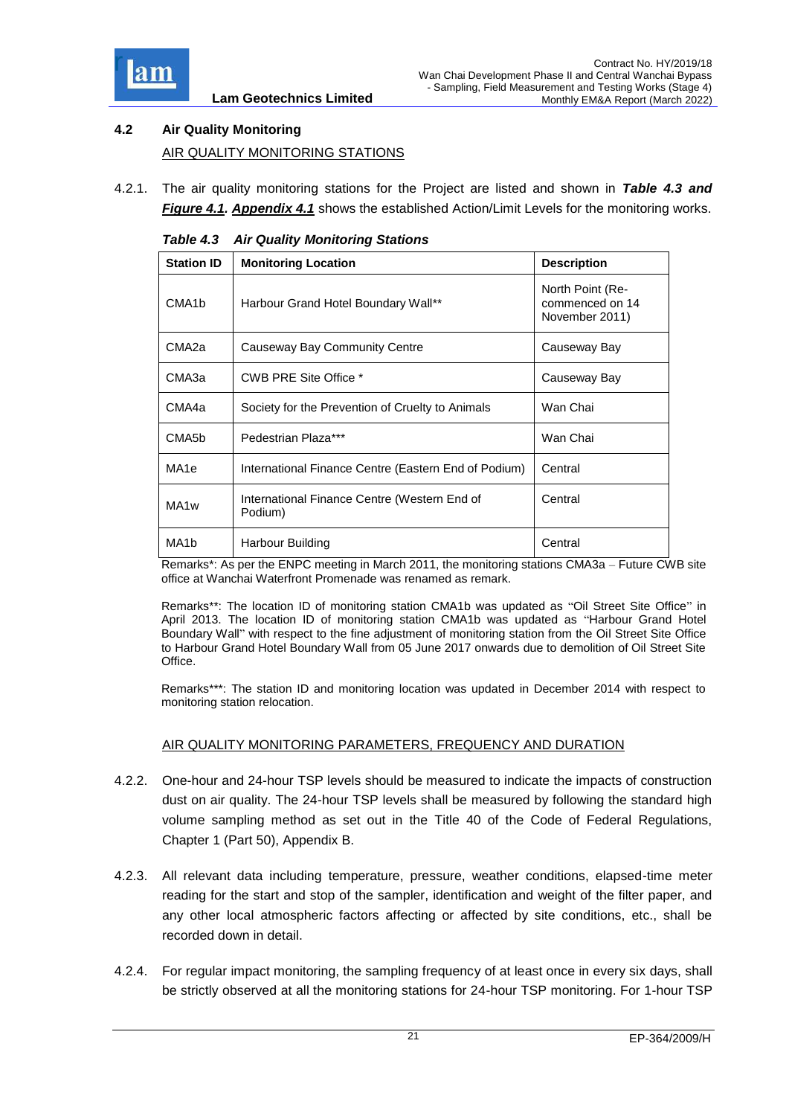

## <span id="page-21-0"></span>**4.2 Air Quality Monitoring** AIR QUALITY MONITORING STATIONS

<span id="page-21-1"></span>4.2.1. The air quality monitoring stations for the Project are listed and shown in *Table 4.3 and Figure 4.1. [Appendix 4.1](../Attachment/App4.1%20Action%20and%20Limit%20Level.pdf)* shows the established Action/Limit Levels for the monitoring works.

| <b>Station ID</b>  | <b>Monitoring Location</b>                              | <b>Description</b>                                    |
|--------------------|---------------------------------------------------------|-------------------------------------------------------|
| CMA <sub>1</sub> b | Harbour Grand Hotel Boundary Wall**                     | North Point (Re-<br>commenced on 14<br>November 2011) |
| CMA2a              | Causeway Bay Community Centre                           | Causeway Bay                                          |
| CMA3a              | CWB PRE Site Office *                                   | Causeway Bay                                          |
| CMA4a              | Society for the Prevention of Cruelty to Animals        | Wan Chai                                              |
| CMA <sub>5</sub> b | Pedestrian Plaza***                                     | Wan Chai                                              |
| MA <sub>1e</sub>   | International Finance Centre (Eastern End of Podium)    | Central                                               |
| MA1w               | International Finance Centre (Western End of<br>Podium) | Central                                               |
| MA1b               | Harbour Building                                        | Central                                               |

*Table 4.3 Air Quality Monitoring Stations*

Remarks\*: As per the ENPC meeting in March 2011, the monitoring stations CMA3a – Future CWB site office at Wanchai Waterfront Promenade was renamed as remark.

Remarks\*\*: The location ID of monitoring station CMA1b was updated as "Oil Street Site Office" in April 2013. The location ID of monitoring station CMA1b was updated as "Harbour Grand Hotel Boundary Wall" with respect to the fine adjustment of monitoring station from the Oil Street Site Office to Harbour Grand Hotel Boundary Wall from 05 June 2017 onwards due to demolition of Oil Street Site Office.

Remarks\*\*\*: The station ID and monitoring location was updated in December 2014 with respect to monitoring station relocation.

## AIR QUALITY MONITORING PARAMETERS, FREQUENCY AND DURATION

- 4.2.2. One-hour and 24-hour TSP levels should be measured to indicate the impacts of construction dust on air quality. The 24-hour TSP levels shall be measured by following the standard high volume sampling method as set out in the Title 40 of the Code of Federal Regulations, Chapter 1 (Part 50), Appendix B.
- 4.2.3. All relevant data including temperature, pressure, weather conditions, elapsed-time meter reading for the start and stop of the sampler, identification and weight of the filter paper, and any other local atmospheric factors affecting or affected by site conditions, etc., shall be recorded down in detail.
- 4.2.4. For regular impact monitoring, the sampling frequency of at least once in every six days, shall be strictly observed at all the monitoring stations for 24-hour TSP monitoring. For 1-hour TSP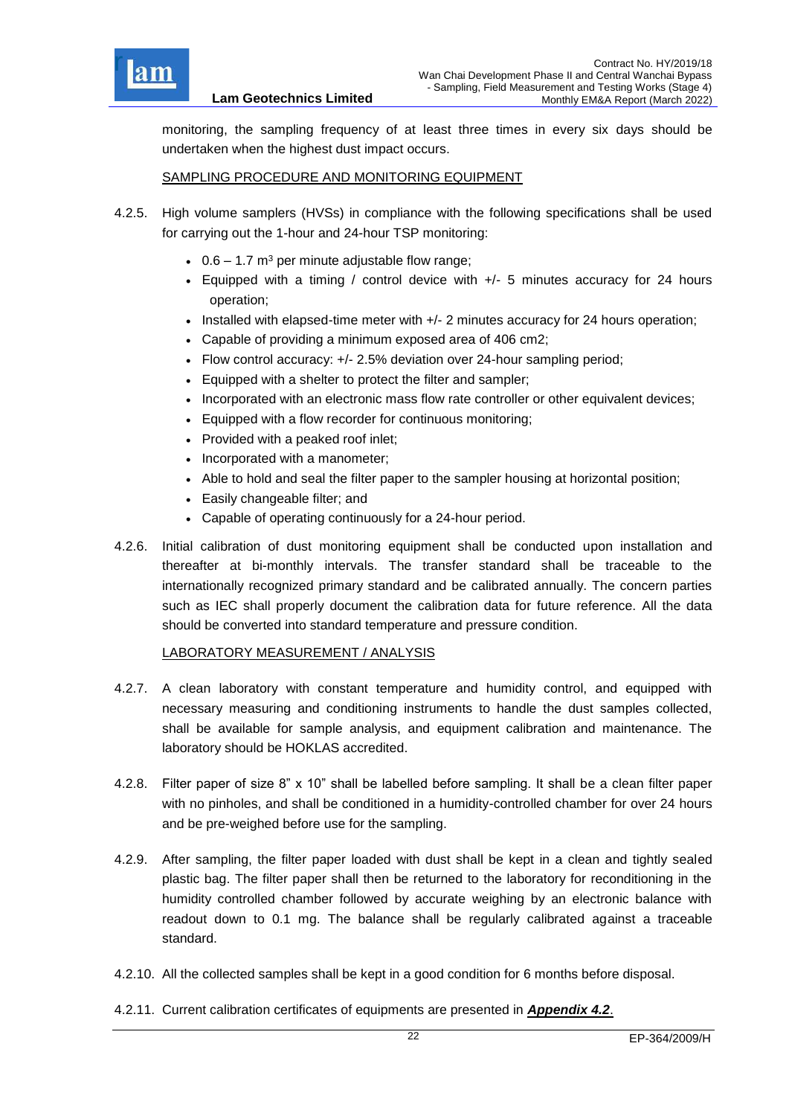

monitoring, the sampling frequency of at least three times in every six days should be undertaken when the highest dust impact occurs.

#### SAMPLING PROCEDURE AND MONITORING EQUIPMENT

- 4.2.5. High volume samplers (HVSs) in compliance with the following specifications shall be used for carrying out the 1-hour and 24-hour TSP monitoring:
	- $\cdot$  0.6 1.7 m<sup>3</sup> per minute adjustable flow range;
	- Equipped with a timing / control device with +/- 5 minutes accuracy for 24 hours operation;
	- Installed with elapsed-time meter with +/- 2 minutes accuracy for 24 hours operation;
	- Capable of providing a minimum exposed area of 406 cm2;
	- Flow control accuracy: +/- 2.5% deviation over 24-hour sampling period;
	- Equipped with a shelter to protect the filter and sampler;
	- Incorporated with an electronic mass flow rate controller or other equivalent devices;
	- Equipped with a flow recorder for continuous monitoring;
	- Provided with a peaked roof inlet:
	- Incorporated with a manometer;
	- Able to hold and seal the filter paper to the sampler housing at horizontal position;
	- Easily changeable filter; and
	- Capable of operating continuously for a 24-hour period.
- 4.2.6. Initial calibration of dust monitoring equipment shall be conducted upon installation and thereafter at bi-monthly intervals. The transfer standard shall be traceable to the internationally recognized primary standard and be calibrated annually. The concern parties such as IEC shall properly document the calibration data for future reference. All the data should be converted into standard temperature and pressure condition.

#### LABORATORY MEASUREMENT / ANALYSIS

- 4.2.7. A clean laboratory with constant temperature and humidity control, and equipped with necessary measuring and conditioning instruments to handle the dust samples collected, shall be available for sample analysis, and equipment calibration and maintenance. The laboratory should be HOKLAS accredited.
- 4.2.8. Filter paper of size 8" x 10" shall be labelled before sampling. It shall be a clean filter paper with no pinholes, and shall be conditioned in a humidity-controlled chamber for over 24 hours and be pre-weighed before use for the sampling.
- 4.2.9. After sampling, the filter paper loaded with dust shall be kept in a clean and tightly sealed plastic bag. The filter paper shall then be returned to the laboratory for reconditioning in the humidity controlled chamber followed by accurate weighing by an electronic balance with readout down to 0.1 mg. The balance shall be regularly calibrated against a traceable standard.
- 4.2.10. All the collected samples shall be kept in a good condition for 6 months before disposal.
- 4.2.11. Current calibration certificates of equipments are presented in *[Appendix 4.2](Attachment/App4.2%20Calibration%20Cert.pdf)*.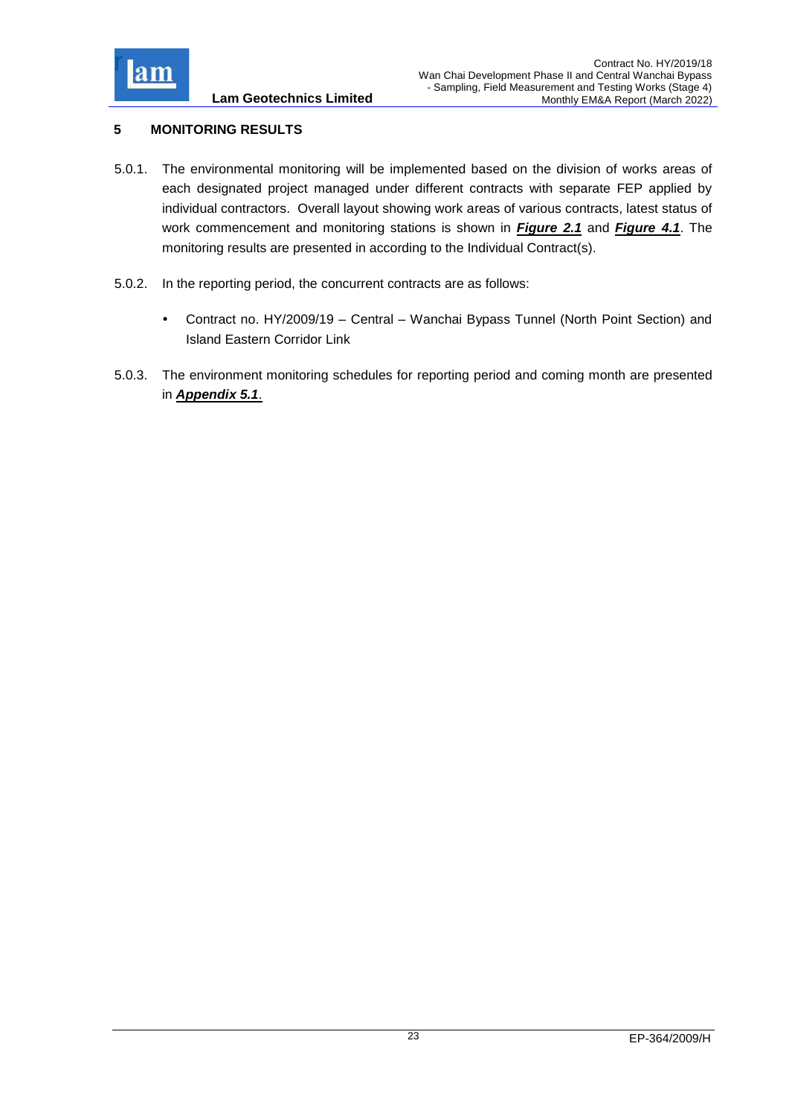

## <span id="page-23-0"></span>**5 MONITORING RESULTS**

- 5.0.1. The environmental monitoring will be implemented based on the division of works areas of each designated project managed under different contracts with separate FEP applied by individual contractors. Overall layout showing work areas of various contracts, latest status of work commencement and monitoring stations is shown in *[Figure 2.1](../Attachment/Fig2.1_Project%20Layout.pdf)* and *[Figure 4.1](../Attachment/Fig4.1%20Location%20of%20monitoring%20stations.pdf)*. The monitoring results are presented in according to the Individual Contract(s).
- 5.0.2. In the reporting period, the concurrent contracts are as follows:
	- Contract no. HY/2009/19 Central Wanchai Bypass Tunnel (North Point Section) and Island Eastern Corridor Link
- 5.0.3. The environment monitoring schedules for reporting period and coming month are presented in *[Appendix 5.1](../Attachment/App5.1%20Schedule.pdf)*.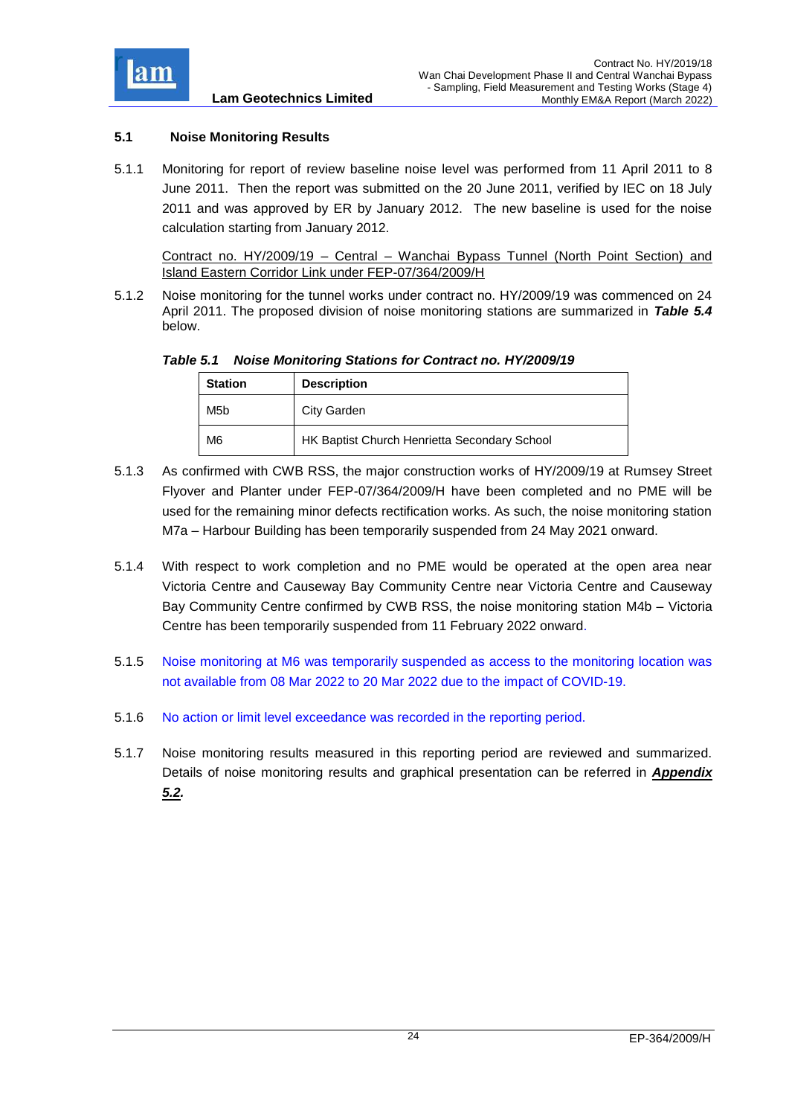

## <span id="page-24-0"></span>**5.1 Noise Monitoring Results**

5.1.1 Monitoring for report of review baseline noise level was performed from 11 April 2011 to 8 June 2011. Then the report was submitted on the 20 June 2011, verified by IEC on 18 July 2011 and was approved by ER by January 2012. The new baseline is used for the noise calculation starting from January 2012.

Contract no. HY/2009/19 – Central – Wanchai Bypass Tunnel (North Point Section) and Island Eastern Corridor Link under FEP-07/364/2009/H

5.1.2 Noise monitoring for the tunnel works under contract no. HY/2009/19 was commenced on 24 April 2011. The proposed division of noise monitoring stations are summarized in *Table 5.4* below.

<span id="page-24-1"></span>*Table 5.1 Noise Monitoring Stations for Contract no. HY/2009/19*

| <b>Station</b> | <b>Description</b>                           |
|----------------|----------------------------------------------|
| M5b            | City Garden                                  |
| M6             | HK Baptist Church Henrietta Secondary School |

- 5.1.3 As confirmed with CWB RSS, the major construction works of HY/2009/19 at Rumsey Street Flyover and Planter under FEP-07/364/2009/H have been completed and no PME will be used for the remaining minor defects rectification works. As such, the noise monitoring station M7a – Harbour Building has been temporarily suspended from 24 May 2021 onward.
- 5.1.4 With respect to work completion and no PME would be operated at the open area near Victoria Centre and Causeway Bay Community Centre near Victoria Centre and Causeway Bay Community Centre confirmed by CWB RSS, the noise monitoring station M4b – Victoria Centre has been temporarily suspended from 11 February 2022 onward.
- 5.1.5 Noise monitoring at M6 was temporarily suspended as access to the monitoring location was not available from 08 Mar 2022 to 20 Mar 2022 due to the impact of COVID-19.
- 5.1.6 No action or limit level exceedance was recorded in the reporting period.
- 5.1.7 Noise monitoring results measured in this reporting period are reviewed and summarized. Details of noise monitoring results and graphical presentation can be referred in *[Appendix](Attachment/App5.2%20Noise.pdf)  [5.2.](Attachment/App5.2%20Noise.pdf)*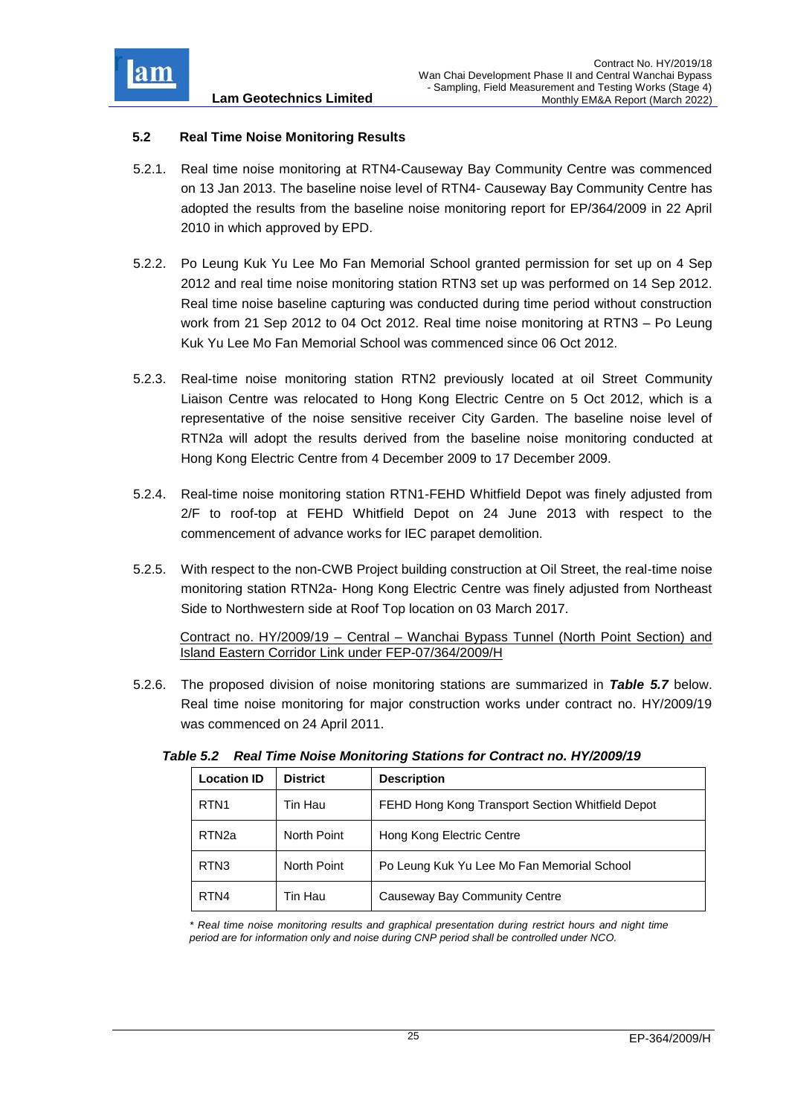

## <span id="page-25-0"></span>**5.2 Real Time Noise Monitoring Results**

- 5.2.1. Real time noise monitoring at RTN4-Causeway Bay Community Centre was commenced on 13 Jan 2013. The baseline noise level of RTN4- Causeway Bay Community Centre has adopted the results from the baseline noise monitoring report for EP/364/2009 in 22 April 2010 in which approved by EPD.
- 5.2.2. Po Leung Kuk Yu Lee Mo Fan Memorial School granted permission for set up on 4 Sep 2012 and real time noise monitoring station RTN3 set up was performed on 14 Sep 2012. Real time noise baseline capturing was conducted during time period without construction work from 21 Sep 2012 to 04 Oct 2012. Real time noise monitoring at RTN3 – Po Leung Kuk Yu Lee Mo Fan Memorial School was commenced since 06 Oct 2012.
- 5.2.3. Real-time noise monitoring station RTN2 previously located at oil Street Community Liaison Centre was relocated to Hong Kong Electric Centre on 5 Oct 2012, which is a representative of the noise sensitive receiver City Garden. The baseline noise level of RTN2a will adopt the results derived from the baseline noise monitoring conducted at Hong Kong Electric Centre from 4 December 2009 to 17 December 2009.
- 5.2.4. Real-time noise monitoring station RTN1-FEHD Whitfield Depot was finely adjusted from 2/F to roof-top at FEHD Whitfield Depot on 24 June 2013 with respect to the commencement of advance works for IEC parapet demolition.
- 5.2.5. With respect to the non-CWB Project building construction at Oil Street, the real-time noise monitoring station RTN2a- Hong Kong Electric Centre was finely adjusted from Northeast Side to Northwestern side at Roof Top location on 03 March 2017.

Contract no. HY/2009/19 – Central – Wanchai Bypass Tunnel (North Point Section) and Island Eastern Corridor Link under FEP-07/364/2009/H

5.2.6. The proposed division of noise monitoring stations are summarized in *Table 5.7* below. Real time noise monitoring for major construction works under contract no. HY/2009/19 was commenced on 24 April 2011.

| <b>Location ID</b> | <b>District</b> | <b>Description</b>                               |
|--------------------|-----------------|--------------------------------------------------|
| RTN <sub>1</sub>   | Tin Hau         | FEHD Hong Kong Transport Section Whitfield Depot |
| RTN <sub>2a</sub>  | North Point     | Hong Kong Electric Centre                        |
| RTN <sub>3</sub>   | North Point     | Po Leung Kuk Yu Lee Mo Fan Memorial School       |
| RTN4               | Tin Hau         | Causeway Bay Community Centre                    |

<span id="page-25-1"></span>

| Table 5.2 Real Time Noise Monitoring Stations for Contract no. HY/2009/19 |  |
|---------------------------------------------------------------------------|--|
|                                                                           |  |

*\* Real time noise monitoring results and graphical presentation during restrict hours and night time period are for information only and noise during CNP period shall be controlled under NCO.*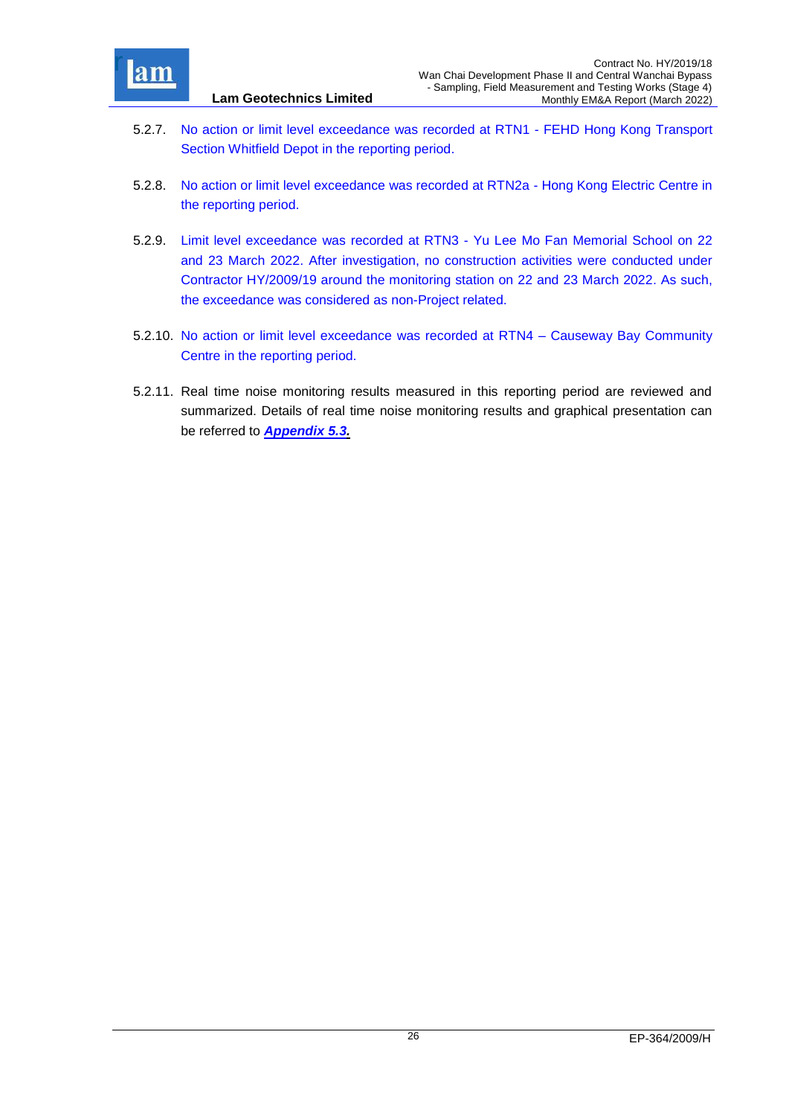

- 5.2.7. No action or limit level exceedance was recorded at RTN1 FEHD Hong Kong Transport Section Whitfield Depot in the reporting period.
- 5.2.8. No action or limit level exceedance was recorded at RTN2a Hong Kong Electric Centre in the reporting period.
- 5.2.9. Limit level exceedance was recorded at RTN3 Yu Lee Mo Fan Memorial School on 22 and 23 March 2022. After investigation, no construction activities were conducted under Contractor HY/2009/19 around the monitoring station on 22 and 23 March 2022. As such, the exceedance was considered as non-Project related.
- 5.2.10. No action or limit level exceedance was recorded at RTN4 Causeway Bay Community Centre in the reporting period.
- 5.2.11. Real time noise monitoring results measured in this reporting period are reviewed and summarized. Details of real time noise monitoring results and graphical presentation can be referred to *[Appendix 5.3.](Attachment/App5.3%20Real%20time%20noise.pdf)*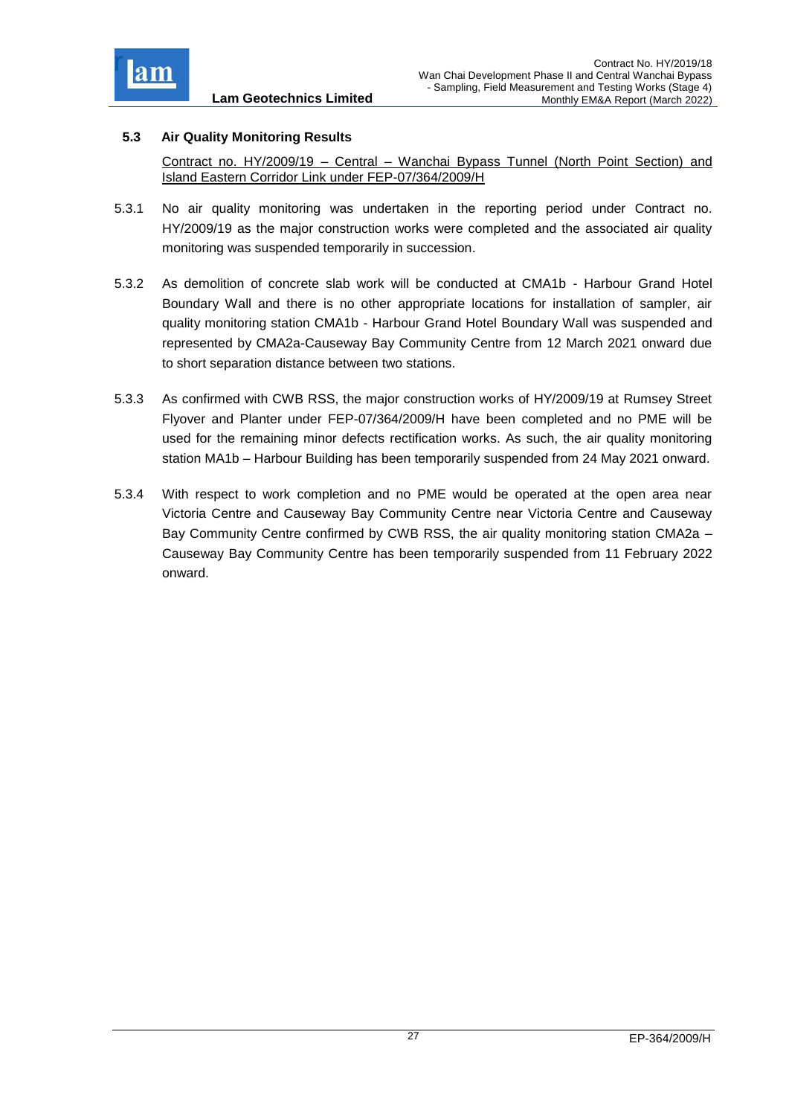

## <span id="page-27-0"></span>**5.3 Air Quality Monitoring Results**

Contract no. HY/2009/19 – Central – Wanchai Bypass Tunnel (North Point Section) and Island Eastern Corridor Link under FEP-07/364/2009/H

- 5.3.1 No air quality monitoring was undertaken in the reporting period under Contract no. HY/2009/19 as the major construction works were completed and the associated air quality monitoring was suspended temporarily in succession.
- 5.3.2 As demolition of concrete slab work will be conducted at CMA1b Harbour Grand Hotel Boundary Wall and there is no other appropriate locations for installation of sampler, air quality monitoring station CMA1b - Harbour Grand Hotel Boundary Wall was suspended and represented by CMA2a-Causeway Bay Community Centre from 12 March 2021 onward due to short separation distance between two stations.
- 5.3.3 As confirmed with CWB RSS, the major construction works of HY/2009/19 at Rumsey Street Flyover and Planter under FEP-07/364/2009/H have been completed and no PME will be used for the remaining minor defects rectification works. As such, the air quality monitoring station MA1b – Harbour Building has been temporarily suspended from 24 May 2021 onward.
- 5.3.4 With respect to work completion and no PME would be operated at the open area near Victoria Centre and Causeway Bay Community Centre near Victoria Centre and Causeway Bay Community Centre confirmed by CWB RSS, the air quality monitoring station CMA2a – Causeway Bay Community Centre has been temporarily suspended from 11 February 2022 onward.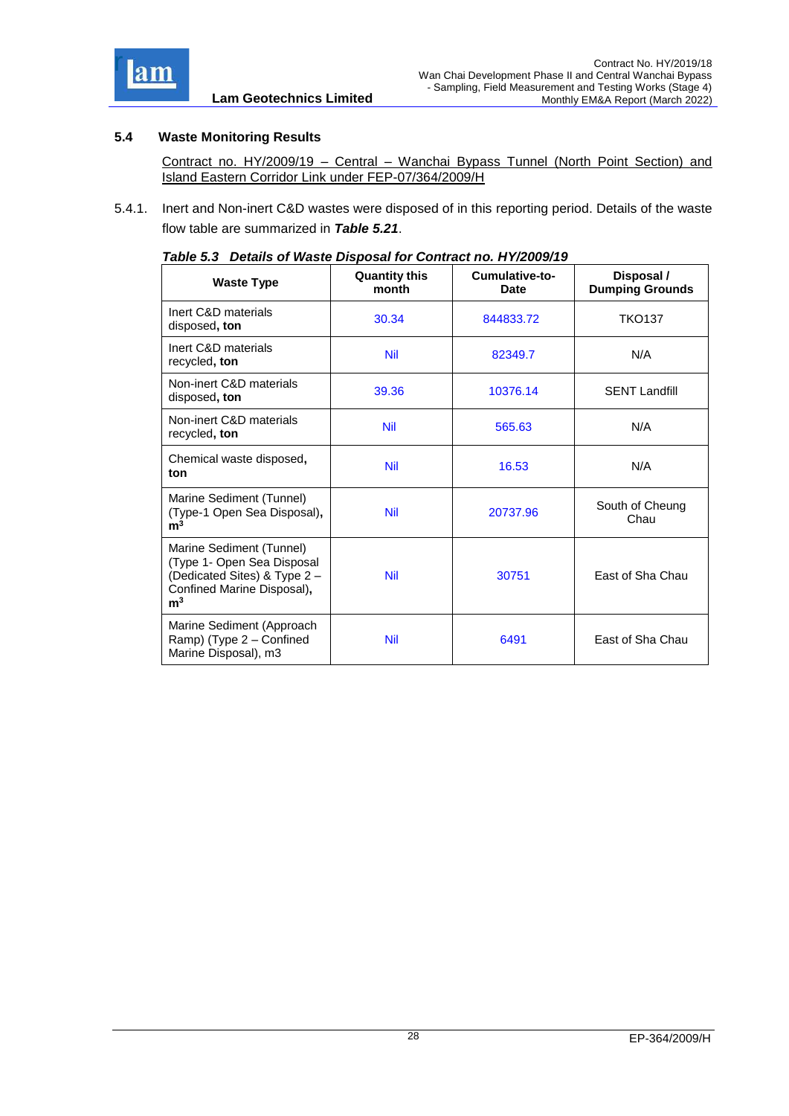

## <span id="page-28-0"></span>**5.4 Waste Monitoring Results**

Contract no. HY/2009/19 – Central – Wanchai Bypass Tunnel (North Point Section) and Island Eastern Corridor Link under FEP-07/364/2009/H

<span id="page-28-1"></span>5.4.1. Inert and Non-inert C&D wastes were disposed of in this reporting period. Details of the waste flow table are summarized in *Table 5.21*.

| <b>Waste Type</b>                                                                                                                      | <b>Quantity this</b><br>month | Cumulative-to-<br>Date | Disposal /<br><b>Dumping Grounds</b> |
|----------------------------------------------------------------------------------------------------------------------------------------|-------------------------------|------------------------|--------------------------------------|
| Inert C&D materials<br>disposed, ton                                                                                                   | 30.34                         | 844833.72              | <b>TKO137</b>                        |
| Inert C&D materials<br>recycled, ton                                                                                                   | <b>Nil</b>                    | 82349.7                | N/A                                  |
| Non-inert C&D materials<br>disposed, ton                                                                                               | 39.36                         | 10376.14               | <b>SENT Landfill</b>                 |
| Non-inert C&D materials<br>recycled, ton                                                                                               | <b>Nil</b>                    | 565.63                 | N/A                                  |
| Chemical waste disposed,<br>ton                                                                                                        | <b>Nil</b>                    | 16.53                  | N/A                                  |
| Marine Sediment (Tunnel)<br>(Type-1 Open Sea Disposal),<br>m <sup>3</sup>                                                              | <b>Nil</b>                    | 20737.96               | South of Cheung<br>Chau              |
| Marine Sediment (Tunnel)<br>(Type 1- Open Sea Disposal<br>(Dedicated Sites) & Type 2 -<br>Confined Marine Disposal),<br>m <sup>3</sup> | <b>Nil</b>                    | 30751                  | East of Sha Chau                     |
| Marine Sediment (Approach<br>Ramp) (Type 2 - Confined<br>Marine Disposal), m3                                                          | <b>Nil</b>                    | 6491                   | East of Sha Chau                     |

#### *Table 5.3 Details of Waste Disposal for Contract no. HY/2009/19*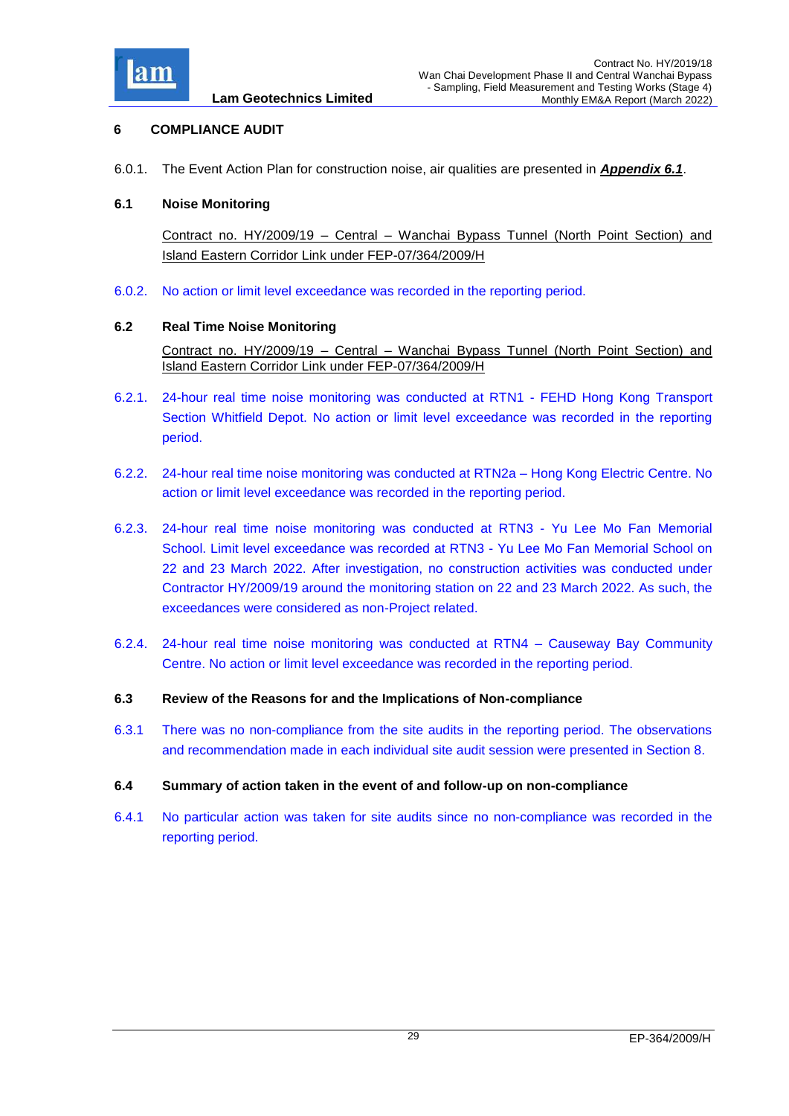

## <span id="page-29-0"></span>**6 COMPLIANCE AUDIT**

6.0.1. The Event Action Plan for construction noise, air qualities are presented in *[Appendix 6.1](Attachment/App6.1%20Event%20and%20Action%20Plan.pdf)*.

#### <span id="page-29-1"></span>**6.1 Noise Monitoring**

Contract no. HY/2009/19 – Central – Wanchai Bypass Tunnel (North Point Section) and Island Eastern Corridor Link under FEP-07/364/2009/H

6.0.2. No action or limit level exceedance was recorded in the reporting period.

#### <span id="page-29-2"></span>**6.2 Real Time Noise Monitoring**

Contract no. HY/2009/19 – Central – Wanchai Bypass Tunnel (North Point Section) and Island Eastern Corridor Link under FEP-07/364/2009/H

- 6.2.1. 24-hour real time noise monitoring was conducted at RTN1 FEHD Hong Kong Transport Section Whitfield Depot. No action or limit level exceedance was recorded in the reporting period.
- 6.2.2. 24-hour real time noise monitoring was conducted at RTN2a Hong Kong Electric Centre. No action or limit level exceedance was recorded in the reporting period.
- 6.2.3. 24-hour real time noise monitoring was conducted at RTN3 Yu Lee Mo Fan Memorial School. Limit level exceedance was recorded at RTN3 - Yu Lee Mo Fan Memorial School on 22 and 23 March 2022. After investigation, no construction activities was conducted under Contractor HY/2009/19 around the monitoring station on 22 and 23 March 2022. As such, the exceedances were considered as non-Project related.
- <span id="page-29-3"></span>6.2.4. 24-hour real time noise monitoring was conducted at RTN4 – Causeway Bay Community Centre. No action or limit level exceedance was recorded in the reporting period.
- <span id="page-29-4"></span>**6.3 Review of the Reasons for and the Implications of Non-compliance**
- 6.3.1 There was no non-compliance from the site audits in the reporting period. The observations and recommendation made in each individual site audit session were presented in Section 8.

#### <span id="page-29-5"></span>**6.4 Summary of action taken in the event of and follow-up on non-compliance**

6.4.1 No particular action was taken for site audits since no non-compliance was recorded in the reporting period.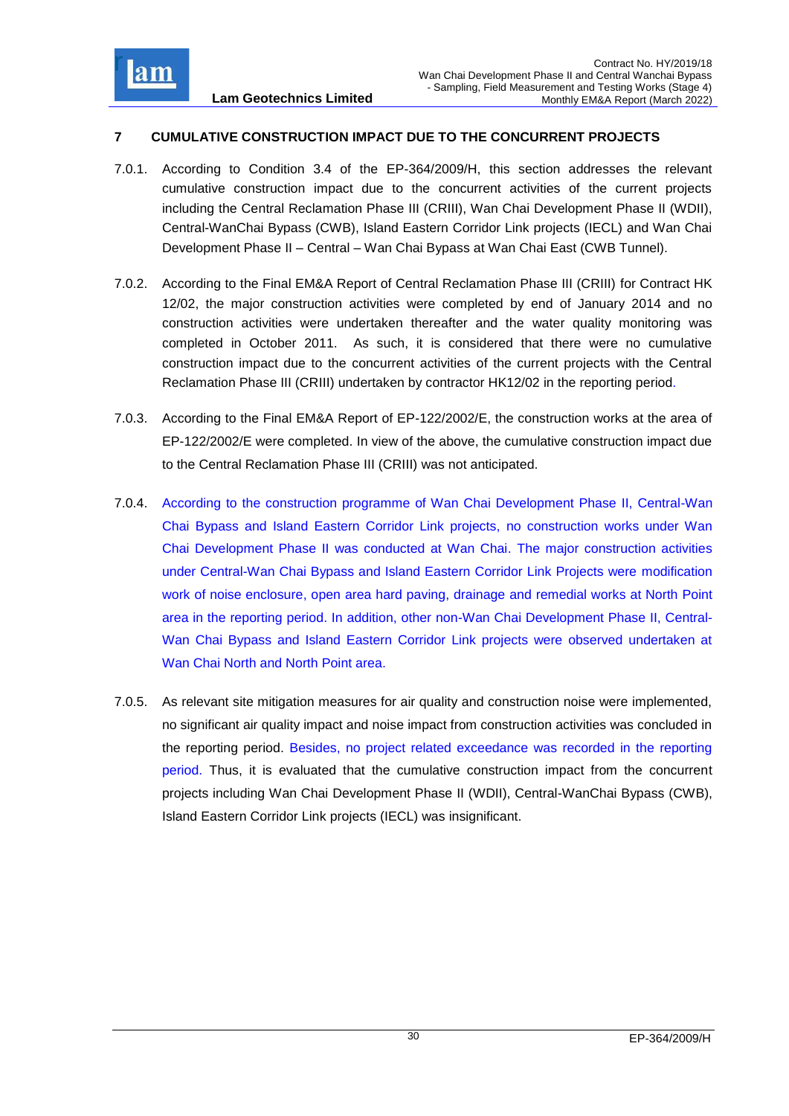

## <span id="page-30-0"></span>**7 CUMULATIVE CONSTRUCTION IMPACT DUE TO THE CONCURRENT PROJECTS**

- 7.0.1. According to Condition 3.4 of the EP-364/2009/H, this section addresses the relevant cumulative construction impact due to the concurrent activities of the current projects including the Central Reclamation Phase III (CRIII), Wan Chai Development Phase II (WDII), Central-WanChai Bypass (CWB), Island Eastern Corridor Link projects (IECL) and Wan Chai Development Phase II – Central – Wan Chai Bypass at Wan Chai East (CWB Tunnel).
- 7.0.2. According to the Final EM&A Report of Central Reclamation Phase III (CRIII) for Contract HK 12/02, the major construction activities were completed by end of January 2014 and no construction activities were undertaken thereafter and the water quality monitoring was completed in October 2011. As such, it is considered that there were no cumulative construction impact due to the concurrent activities of the current projects with the Central Reclamation Phase III (CRIII) undertaken by contractor HK12/02 in the reporting period.
- 7.0.3. According to the Final EM&A Report of EP-122/2002/E, the construction works at the area of EP-122/2002/E were completed. In view of the above, the cumulative construction impact due to the Central Reclamation Phase III (CRIII) was not anticipated.
- 7.0.4. According to the construction programme of Wan Chai Development Phase II, Central-Wan Chai Bypass and Island Eastern Corridor Link projects, no construction works under Wan Chai Development Phase II was conducted at Wan Chai. The major construction activities under Central-Wan Chai Bypass and Island Eastern Corridor Link Projects were modification work of noise enclosure, open area hard paving, drainage and remedial works at North Point area in the reporting period. In addition, other non-Wan Chai Development Phase II, Central-Wan Chai Bypass and Island Eastern Corridor Link projects were observed undertaken at Wan Chai North and North Point area.
- 7.0.5. As relevant site mitigation measures for air quality and construction noise were implemented, no significant air quality impact and noise impact from construction activities was concluded in the reporting period. Besides, no project related exceedance was recorded in the reporting period. Thus, it is evaluated that the cumulative construction impact from the concurrent projects including Wan Chai Development Phase II (WDII), Central-WanChai Bypass (CWB), Island Eastern Corridor Link projects (IECL) was insignificant.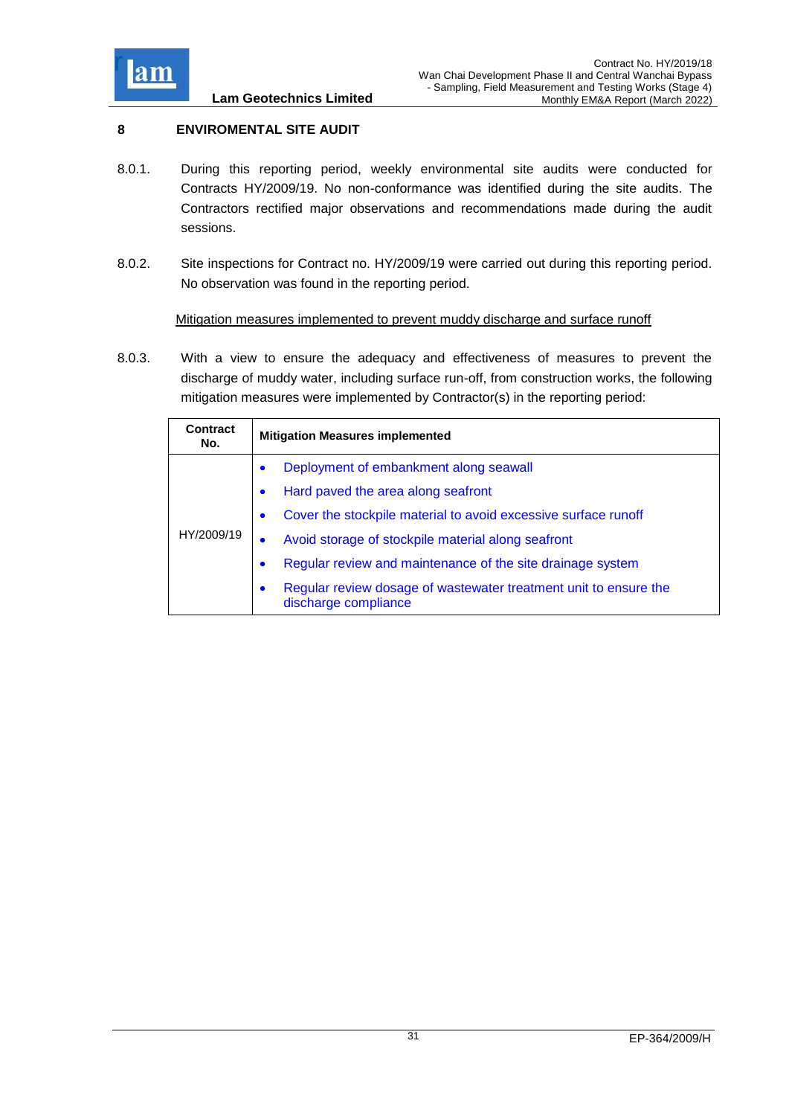

## <span id="page-31-0"></span>**8 ENVIROMENTAL SITE AUDIT**

- 8.0.1. During this reporting period, weekly environmental site audits were conducted for Contracts HY/2009/19. No non-conformance was identified during the site audits. The Contractors rectified major observations and recommendations made during the audit sessions.
- 8.0.2. Site inspections for Contract no. HY/2009/19 were carried out during this reporting period. No observation was found in the reporting period.

Mitigation measures implemented to prevent muddy discharge and surface runoff

8.0.3. With a view to ensure the adequacy and effectiveness of measures to prevent the discharge of muddy water, including surface run-off, from construction works, the following mitigation measures were implemented by Contractor(s) in the reporting period:

| Contract<br>No. | <b>Mitigation Measures implemented</b>                                                                |  |
|-----------------|-------------------------------------------------------------------------------------------------------|--|
| HY/2009/19      | Deployment of embankment along seawall<br>$\bullet$                                                   |  |
|                 | Hard paved the area along seafront<br>$\bullet$                                                       |  |
|                 | Cover the stockpile material to avoid excessive surface runoff<br>$\bullet$                           |  |
|                 | Avoid storage of stockpile material along seafront                                                    |  |
|                 | Regular review and maintenance of the site drainage system<br>$\bullet$                               |  |
|                 | Regular review dosage of wastewater treatment unit to ensure the<br>$\bullet$<br>discharge compliance |  |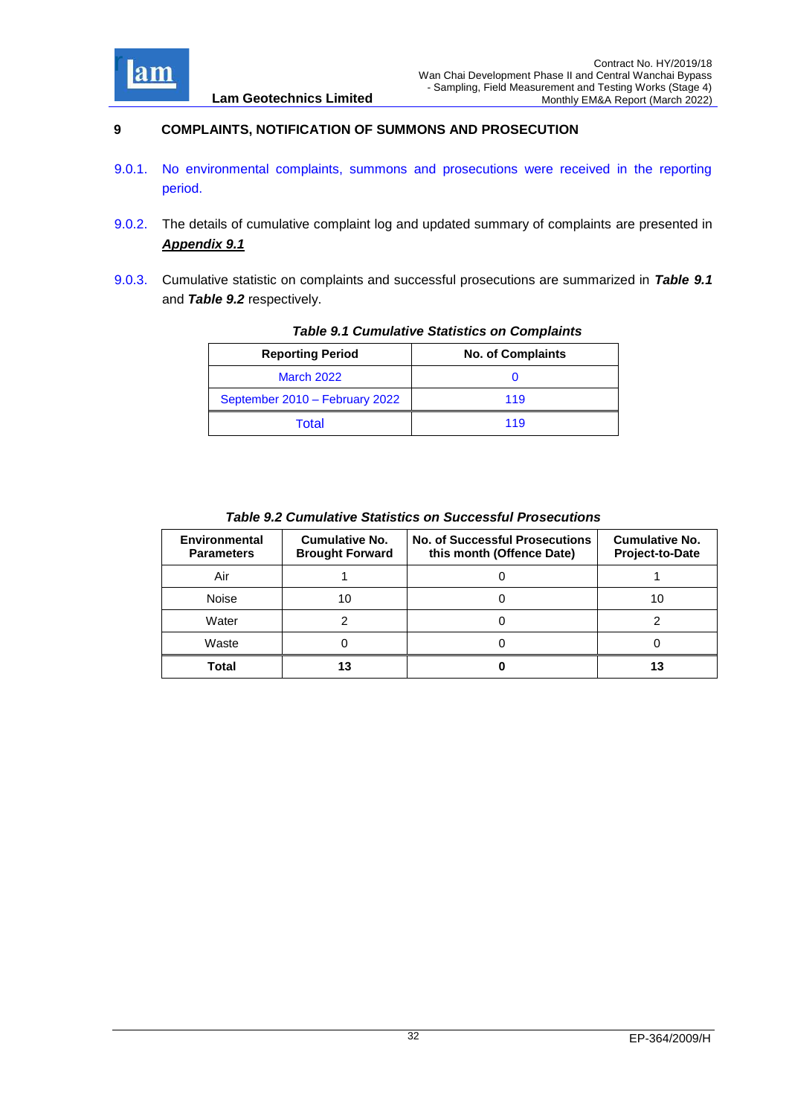

## <span id="page-32-0"></span>**9 COMPLAINTS, NOTIFICATION OF SUMMONS AND PROSECUTION**

- 9.0.1. No environmental complaints, summons and prosecutions were received in the reporting period.
- 9.0.2. The details of cumulative complaint log and updated summary of complaints are presented in *[Appendix 9.1](Attachment/App9.1%20Complaint%20Log.pdf)*
- <span id="page-32-1"></span>9.0.3. Cumulative statistic on complaints and successful prosecutions are summarized in *Table 9.1* and *Table 9.2* respectively.

| <b>Reporting Period</b>        | <b>No. of Complaints</b> |
|--------------------------------|--------------------------|
| <b>March 2022</b>              |                          |
| September 2010 - February 2022 | 119                      |
| Total                          | 119                      |

*Table 9.1 Cumulative Statistics on Complaints*

|  | <b>Table 9.2 Cumulative Statistics on Successful Prosecutions</b> |  |
|--|-------------------------------------------------------------------|--|
|  |                                                                   |  |

<span id="page-32-2"></span>

| <b>Environmental</b><br><b>Parameters</b> | <b>Cumulative No.</b><br><b>Brought Forward</b> | <b>No. of Successful Prosecutions</b><br>this month (Offence Date) | <b>Cumulative No.</b><br><b>Project-to-Date</b> |
|-------------------------------------------|-------------------------------------------------|--------------------------------------------------------------------|-------------------------------------------------|
| Air                                       |                                                 |                                                                    |                                                 |
| <b>Noise</b>                              | 10                                              |                                                                    | 10                                              |
| Water                                     |                                                 |                                                                    |                                                 |
| Waste                                     |                                                 |                                                                    |                                                 |
| Total                                     | 13                                              |                                                                    | 13                                              |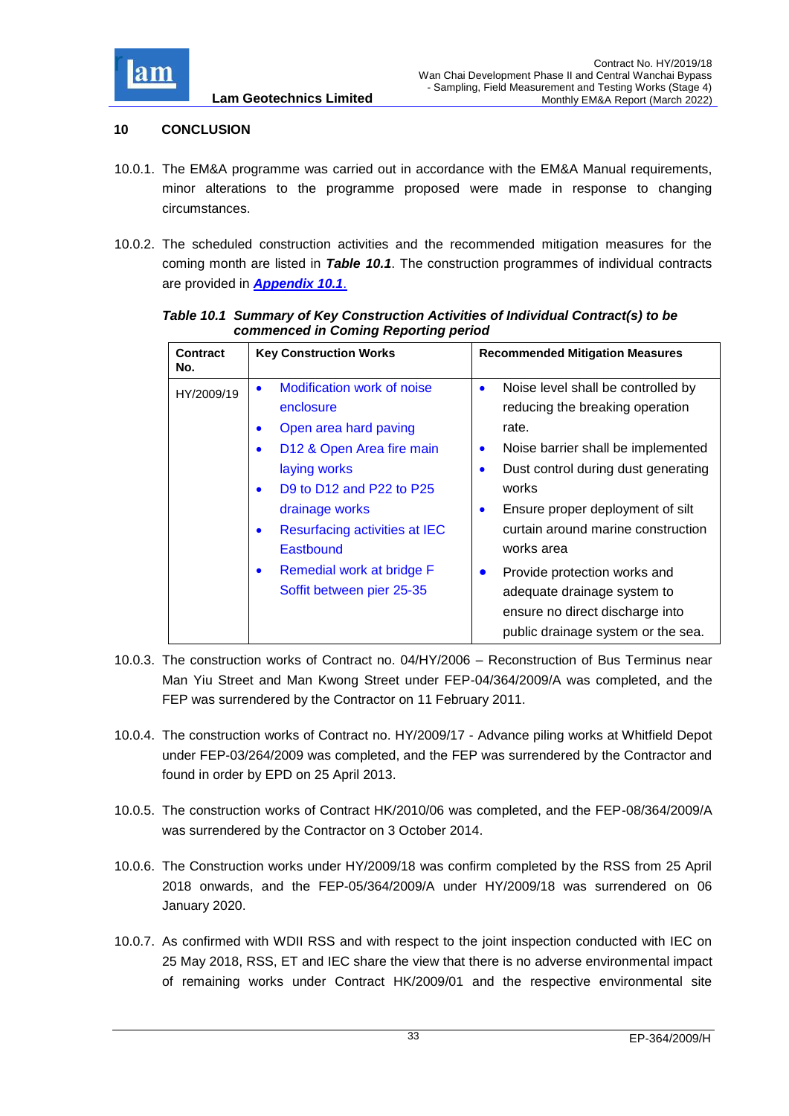

## <span id="page-33-0"></span>**10 CONCLUSION**

- 10.0.1. The EM&A programme was carried out in accordance with the EM&A Manual requirements, minor alterations to the programme proposed were made in response to changing circumstances.
- 10.0.2. The scheduled construction activities and the recommended mitigation measures for the coming month are listed in *Table 10.1*. The construction programmes of individual contracts are provided in *[Appendix 10.1](Attachment/App10.1%20Construction%20Programme.pdf)*.

| <b>Contract</b><br>No. | <b>Key Construction Works</b>                                                                                                                                                                                                                                                                                                             | <b>Recommended Mitigation Measures</b>                                                                                                                                                                                                                                                                                                                                                                                                                        |
|------------------------|-------------------------------------------------------------------------------------------------------------------------------------------------------------------------------------------------------------------------------------------------------------------------------------------------------------------------------------------|---------------------------------------------------------------------------------------------------------------------------------------------------------------------------------------------------------------------------------------------------------------------------------------------------------------------------------------------------------------------------------------------------------------------------------------------------------------|
| HY/2009/19             | Modification work of noise<br>$\bullet$<br>enclosure<br>Open area hard paving<br>$\bullet$<br>D12 & Open Area fire main<br>$\bullet$<br>laying works<br>D9 to D12 and P22 to P25<br>٠<br>drainage works<br>Resurfacing activities at IEC<br>$\bullet$<br>Eastbound<br>Remedial work at bridge F<br>$\bullet$<br>Soffit between pier 25-35 | Noise level shall be controlled by<br>$\bullet$<br>reducing the breaking operation<br>rate.<br>Noise barrier shall be implemented<br>$\bullet$<br>Dust control during dust generating<br>$\bullet$<br>works<br>Ensure proper deployment of silt<br>٠<br>curtain around marine construction<br>works area<br>Provide protection works and<br>$\bullet$<br>adequate drainage system to<br>ensure no direct discharge into<br>public drainage system or the sea. |

<span id="page-33-1"></span>*Table 10.1 Summary of Key Construction Activities of Individual Contract(s) to be commenced in Coming Reporting period*

- 10.0.3. The construction works of Contract no. 04/HY/2006 Reconstruction of Bus Terminus near Man Yiu Street and Man Kwong Street under FEP-04/364/2009/A was completed, and the FEP was surrendered by the Contractor on 11 February 2011.
- 10.0.4. The construction works of Contract no. HY/2009/17 Advance piling works at Whitfield Depot under FEP-03/264/2009 was completed, and the FEP was surrendered by the Contractor and found in order by EPD on 25 April 2013.
- 10.0.5. The construction works of Contract HK/2010/06 was completed, and the FEP-08/364/2009/A was surrendered by the Contractor on 3 October 2014.
- 10.0.6. The Construction works under HY/2009/18 was confirm completed by the RSS from 25 April 2018 onwards, and the FEP-05/364/2009/A under HY/2009/18 was surrendered on 06 January 2020.
- 10.0.7. As confirmed with WDII RSS and with respect to the joint inspection conducted with IEC on 25 May 2018, RSS, ET and IEC share the view that there is no adverse environmental impact of remaining works under Contract HK/2009/01 and the respective environmental site